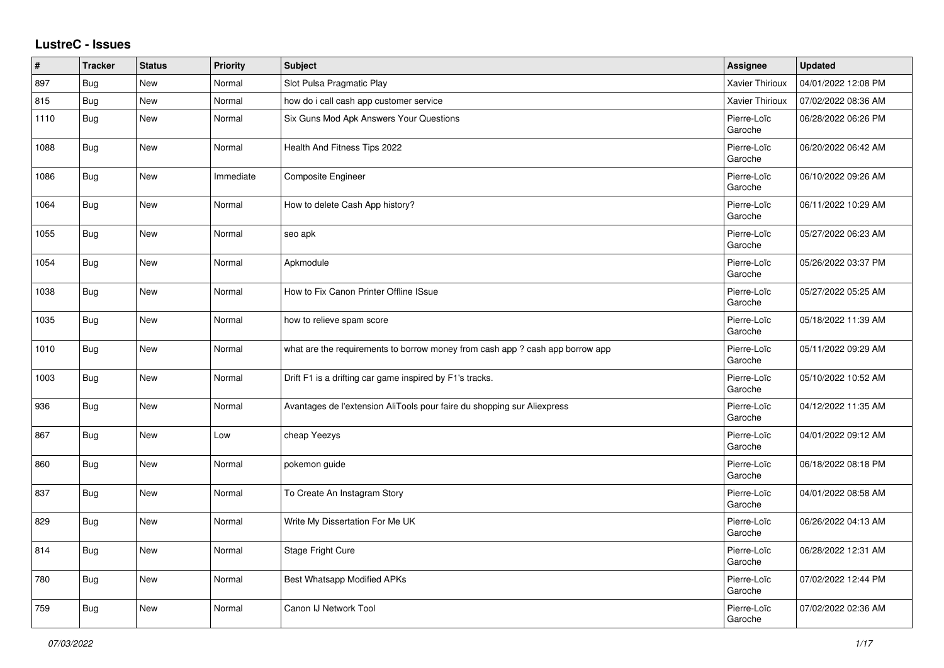## **LustreC - Issues**

| ∦    | <b>Tracker</b> | <b>Status</b> | <b>Priority</b> | <b>Subject</b>                                                                | Assignee               | <b>Updated</b>      |
|------|----------------|---------------|-----------------|-------------------------------------------------------------------------------|------------------------|---------------------|
| 897  | Bug            | New           | Normal          | Slot Pulsa Pragmatic Play                                                     | <b>Xavier Thirioux</b> | 04/01/2022 12:08 PM |
| 815  | Bug            | New           | Normal          | how do i call cash app customer service                                       | Xavier Thirioux        | 07/02/2022 08:36 AM |
| 1110 | Bug            | New           | Normal          | Six Guns Mod Apk Answers Your Questions                                       | Pierre-Loïc<br>Garoche | 06/28/2022 06:26 PM |
| 1088 | <b>Bug</b>     | <b>New</b>    | Normal          | Health And Fitness Tips 2022                                                  | Pierre-Loïc<br>Garoche | 06/20/2022 06:42 AM |
| 1086 | Bug            | New           | Immediate       | Composite Engineer                                                            | Pierre-Loïc<br>Garoche | 06/10/2022 09:26 AM |
| 1064 | <b>Bug</b>     | New           | Normal          | How to delete Cash App history?                                               | Pierre-Loïc<br>Garoche | 06/11/2022 10:29 AM |
| 1055 | <b>Bug</b>     | New           | Normal          | seo apk                                                                       | Pierre-Loïc<br>Garoche | 05/27/2022 06:23 AM |
| 1054 | Bug            | New           | Normal          | Apkmodule                                                                     | Pierre-Loïc<br>Garoche | 05/26/2022 03:37 PM |
| 1038 | <b>Bug</b>     | New           | Normal          | How to Fix Canon Printer Offline ISsue                                        | Pierre-Loïc<br>Garoche | 05/27/2022 05:25 AM |
| 1035 | <b>Bug</b>     | New           | Normal          | how to relieve spam score                                                     | Pierre-Loïc<br>Garoche | 05/18/2022 11:39 AM |
| 1010 | <b>Bug</b>     | New           | Normal          | what are the requirements to borrow money from cash app ? cash app borrow app | Pierre-Loïc<br>Garoche | 05/11/2022 09:29 AM |
| 1003 | <b>Bug</b>     | New           | Normal          | Drift F1 is a drifting car game inspired by F1's tracks.                      | Pierre-Loïc<br>Garoche | 05/10/2022 10:52 AM |
| 936  | Bug            | New           | Normal          | Avantages de l'extension AliTools pour faire du shopping sur Aliexpress       | Pierre-Loïc<br>Garoche | 04/12/2022 11:35 AM |
| 867  | Bug            | New           | Low             | cheap Yeezys                                                                  | Pierre-Loïc<br>Garoche | 04/01/2022 09:12 AM |
| 860  | <b>Bug</b>     | New           | Normal          | pokemon guide                                                                 | Pierre-Loïc<br>Garoche | 06/18/2022 08:18 PM |
| 837  | <b>Bug</b>     | <b>New</b>    | Normal          | To Create An Instagram Story                                                  | Pierre-Loïc<br>Garoche | 04/01/2022 08:58 AM |
| 829  | <b>Bug</b>     | New           | Normal          | Write My Dissertation For Me UK                                               | Pierre-Loïc<br>Garoche | 06/26/2022 04:13 AM |
| 814  | Bug            | New           | Normal          | Stage Fright Cure                                                             | Pierre-Loïc<br>Garoche | 06/28/2022 12:31 AM |
| 780  | Bug            | New           | Normal          | Best Whatsapp Modified APKs                                                   | Pierre-Loïc<br>Garoche | 07/02/2022 12:44 PM |
| 759  | <b>Bug</b>     | New           | Normal          | Canon IJ Network Tool                                                         | Pierre-Loïc<br>Garoche | 07/02/2022 02:36 AM |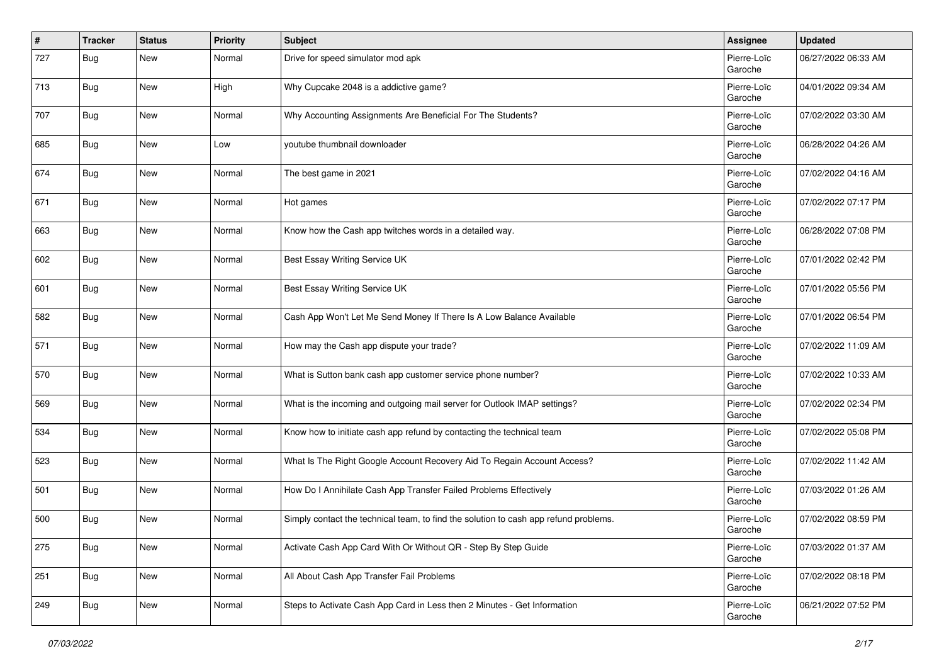| #   | <b>Tracker</b> | <b>Status</b> | <b>Priority</b> | <b>Subject</b>                                                                       | Assignee               | <b>Updated</b>      |
|-----|----------------|---------------|-----------------|--------------------------------------------------------------------------------------|------------------------|---------------------|
| 727 | Bug            | New           | Normal          | Drive for speed simulator mod apk                                                    | Pierre-Loïc<br>Garoche | 06/27/2022 06:33 AM |
| 713 | Bug            | <b>New</b>    | High            | Why Cupcake 2048 is a addictive game?                                                | Pierre-Loïc<br>Garoche | 04/01/2022 09:34 AM |
| 707 | Bug            | <b>New</b>    | Normal          | Why Accounting Assignments Are Beneficial For The Students?                          | Pierre-Loïc<br>Garoche | 07/02/2022 03:30 AM |
| 685 | Bug            | New           | Low             | youtube thumbnail downloader                                                         | Pierre-Loïc<br>Garoche | 06/28/2022 04:26 AM |
| 674 | Bug            | New           | Normal          | The best game in 2021                                                                | Pierre-Loïc<br>Garoche | 07/02/2022 04:16 AM |
| 671 | Bug            | New           | Normal          | Hot games                                                                            | Pierre-Loïc<br>Garoche | 07/02/2022 07:17 PM |
| 663 | <b>Bug</b>     | New           | Normal          | Know how the Cash app twitches words in a detailed way.                              | Pierre-Loïc<br>Garoche | 06/28/2022 07:08 PM |
| 602 | Bug            | New           | Normal          | Best Essay Writing Service UK                                                        | Pierre-Loïc<br>Garoche | 07/01/2022 02:42 PM |
| 601 | Bug            | New           | Normal          | Best Essay Writing Service UK                                                        | Pierre-Loïc<br>Garoche | 07/01/2022 05:56 PM |
| 582 | Bug            | New           | Normal          | Cash App Won't Let Me Send Money If There Is A Low Balance Available                 | Pierre-Loïc<br>Garoche | 07/01/2022 06:54 PM |
| 571 | Bug            | New           | Normal          | How may the Cash app dispute your trade?                                             | Pierre-Loïc<br>Garoche | 07/02/2022 11:09 AM |
| 570 | <b>Bug</b>     | <b>New</b>    | Normal          | What is Sutton bank cash app customer service phone number?                          | Pierre-Loïc<br>Garoche | 07/02/2022 10:33 AM |
| 569 | Bug            | <b>New</b>    | Normal          | What is the incoming and outgoing mail server for Outlook IMAP settings?             | Pierre-Loïc<br>Garoche | 07/02/2022 02:34 PM |
| 534 | Bug            | New           | Normal          | Know how to initiate cash app refund by contacting the technical team                | Pierre-Loïc<br>Garoche | 07/02/2022 05:08 PM |
| 523 | <b>Bug</b>     | New           | Normal          | What Is The Right Google Account Recovery Aid To Regain Account Access?              | Pierre-Loïc<br>Garoche | 07/02/2022 11:42 AM |
| 501 | <b>Bug</b>     | New           | Normal          | How Do I Annihilate Cash App Transfer Failed Problems Effectively                    | Pierre-Loïc<br>Garoche | 07/03/2022 01:26 AM |
| 500 | Bug            | <b>New</b>    | Normal          | Simply contact the technical team, to find the solution to cash app refund problems. | Pierre-Loïc<br>Garoche | 07/02/2022 08:59 PM |
| 275 | <b>Bug</b>     | New           | Normal          | Activate Cash App Card With Or Without QR - Step By Step Guide                       | Pierre-Loïc<br>Garoche | 07/03/2022 01:37 AM |
| 251 | <b>Bug</b>     | New           | Normal          | All About Cash App Transfer Fail Problems                                            | Pierre-Loïc<br>Garoche | 07/02/2022 08:18 PM |
| 249 | <b>Bug</b>     | New           | Normal          | Steps to Activate Cash App Card in Less then 2 Minutes - Get Information             | Pierre-Loïc<br>Garoche | 06/21/2022 07:52 PM |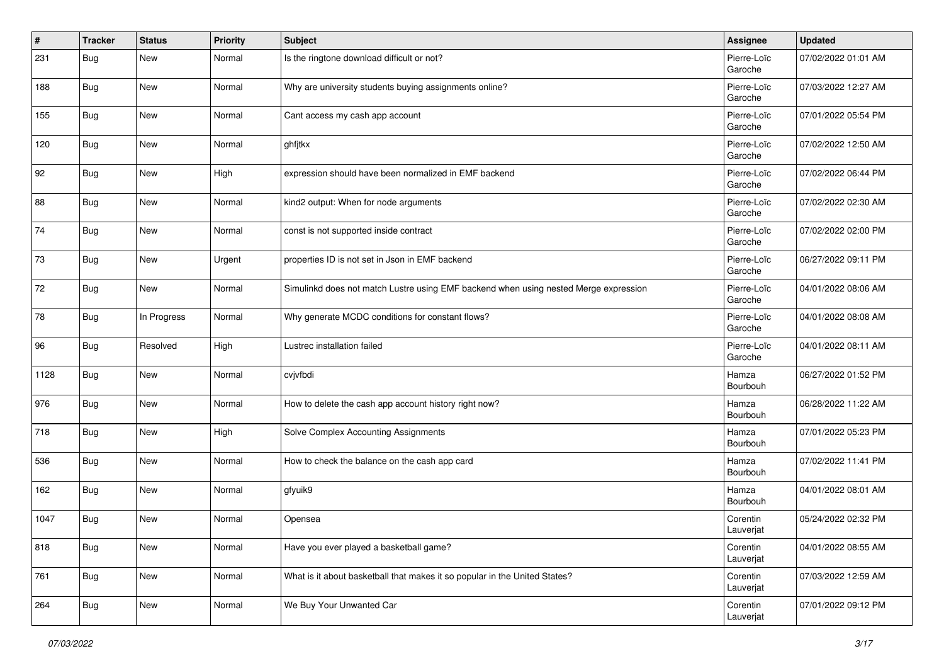| $\pmb{\#}$ | <b>Tracker</b> | <b>Status</b> | <b>Priority</b> | <b>Subject</b>                                                                       | <b>Assignee</b>        | <b>Updated</b>      |
|------------|----------------|---------------|-----------------|--------------------------------------------------------------------------------------|------------------------|---------------------|
| 231        | Bug            | New           | Normal          | Is the ringtone download difficult or not?                                           | Pierre-Loïc<br>Garoche | 07/02/2022 01:01 AM |
| 188        | <b>Bug</b>     | New           | Normal          | Why are university students buying assignments online?                               | Pierre-Loïc<br>Garoche | 07/03/2022 12:27 AM |
| 155        | Bug            | New           | Normal          | Cant access my cash app account                                                      | Pierre-Loïc<br>Garoche | 07/01/2022 05:54 PM |
| 120        | Bug            | New           | Normal          | ghfjtkx                                                                              | Pierre-Loïc<br>Garoche | 07/02/2022 12:50 AM |
| 92         | Bug            | New           | High            | expression should have been normalized in EMF backend                                | Pierre-Loïc<br>Garoche | 07/02/2022 06:44 PM |
| 88         | Bug            | New           | Normal          | kind2 output: When for node arguments                                                | Pierre-Loïc<br>Garoche | 07/02/2022 02:30 AM |
| 74         | Bug            | New           | Normal          | const is not supported inside contract                                               | Pierre-Loïc<br>Garoche | 07/02/2022 02:00 PM |
| 73         | Bug            | New           | Urgent          | properties ID is not set in Json in EMF backend                                      | Pierre-Loïc<br>Garoche | 06/27/2022 09:11 PM |
| 72         | <b>Bug</b>     | New           | Normal          | Simulinkd does not match Lustre using EMF backend when using nested Merge expression | Pierre-Loïc<br>Garoche | 04/01/2022 08:06 AM |
| 78         | Bug            | In Progress   | Normal          | Why generate MCDC conditions for constant flows?                                     | Pierre-Loïc<br>Garoche | 04/01/2022 08:08 AM |
| 96         | Bug            | Resolved      | High            | Lustrec installation failed                                                          | Pierre-Loïc<br>Garoche | 04/01/2022 08:11 AM |
| 1128       | <b>Bug</b>     | New           | Normal          | cvjvfbdi                                                                             | Hamza<br>Bourbouh      | 06/27/2022 01:52 PM |
| 976        | Bug            | New           | Normal          | How to delete the cash app account history right now?                                | Hamza<br>Bourbouh      | 06/28/2022 11:22 AM |
| 718        | Bug            | New           | High            | Solve Complex Accounting Assignments                                                 | Hamza<br>Bourbouh      | 07/01/2022 05:23 PM |
| 536        | Bug            | New           | Normal          | How to check the balance on the cash app card                                        | Hamza<br>Bourbouh      | 07/02/2022 11:41 PM |
| 162        | <b>Bug</b>     | New           | Normal          | gfyuik9                                                                              | Hamza<br>Bourbouh      | 04/01/2022 08:01 AM |
| 1047       | Bug            | New           | Normal          | Opensea                                                                              | Corentin<br>Lauverjat  | 05/24/2022 02:32 PM |
| 818        | <b>Bug</b>     | New           | Normal          | Have you ever played a basketball game?                                              | Corentin<br>Lauverjat  | 04/01/2022 08:55 AM |
| 761        | <b>Bug</b>     | New           | Normal          | What is it about basketball that makes it so popular in the United States?           | Corentin<br>Lauverjat  | 07/03/2022 12:59 AM |
| 264        | Bug            | New           | Normal          | We Buy Your Unwanted Car                                                             | Corentin<br>Lauverjat  | 07/01/2022 09:12 PM |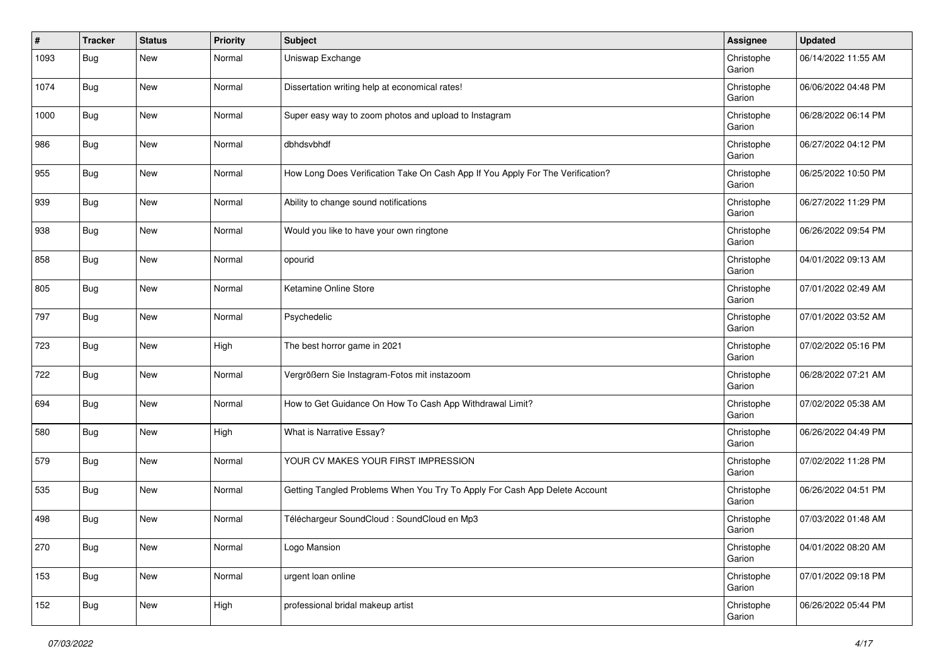| #    | <b>Tracker</b> | <b>Status</b> | <b>Priority</b> | <b>Subject</b>                                                                 | <b>Assignee</b>      | <b>Updated</b>      |
|------|----------------|---------------|-----------------|--------------------------------------------------------------------------------|----------------------|---------------------|
| 1093 | Bug            | New           | Normal          | Uniswap Exchange                                                               | Christophe<br>Garion | 06/14/2022 11:55 AM |
| 1074 | <b>Bug</b>     | New           | Normal          | Dissertation writing help at economical rates!                                 | Christophe<br>Garion | 06/06/2022 04:48 PM |
| 1000 | Bug            | New           | Normal          | Super easy way to zoom photos and upload to Instagram                          | Christophe<br>Garion | 06/28/2022 06:14 PM |
| 986  | Bug            | New           | Normal          | dbhdsvbhdf                                                                     | Christophe<br>Garion | 06/27/2022 04:12 PM |
| 955  | Bug            | New           | Normal          | How Long Does Verification Take On Cash App If You Apply For The Verification? | Christophe<br>Garion | 06/25/2022 10:50 PM |
| 939  | Bug            | New           | Normal          | Ability to change sound notifications                                          | Christophe<br>Garion | 06/27/2022 11:29 PM |
| 938  | <b>Bug</b>     | New           | Normal          | Would you like to have your own ringtone                                       | Christophe<br>Garion | 06/26/2022 09:54 PM |
| 858  | Bug            | New           | Normal          | opourid                                                                        | Christophe<br>Garion | 04/01/2022 09:13 AM |
| 805  | Bug            | New           | Normal          | Ketamine Online Store                                                          | Christophe<br>Garion | 07/01/2022 02:49 AM |
| 797  | Bug            | New           | Normal          | Psychedelic                                                                    | Christophe<br>Garion | 07/01/2022 03:52 AM |
| 723  | Bug            | New           | High            | The best horror game in 2021                                                   | Christophe<br>Garion | 07/02/2022 05:16 PM |
| 722  | Bug            | New           | Normal          | Vergrößern Sie Instagram-Fotos mit instazoom                                   | Christophe<br>Garion | 06/28/2022 07:21 AM |
| 694  | Bug            | New           | Normal          | How to Get Guidance On How To Cash App Withdrawal Limit?                       | Christophe<br>Garion | 07/02/2022 05:38 AM |
| 580  | Bug            | New           | High            | What is Narrative Essay?                                                       | Christophe<br>Garion | 06/26/2022 04:49 PM |
| 579  | Bug            | New           | Normal          | YOUR CV MAKES YOUR FIRST IMPRESSION                                            | Christophe<br>Garion | 07/02/2022 11:28 PM |
| 535  | <b>Bug</b>     | New           | Normal          | Getting Tangled Problems When You Try To Apply For Cash App Delete Account     | Christophe<br>Garion | 06/26/2022 04:51 PM |
| 498  | Bug            | New           | Normal          | Téléchargeur SoundCloud : SoundCloud en Mp3                                    | Christophe<br>Garion | 07/03/2022 01:48 AM |
| 270  | <b>Bug</b>     | New           | Normal          | Logo Mansion                                                                   | Christophe<br>Garion | 04/01/2022 08:20 AM |
| 153  | Bug            | New           | Normal          | urgent loan online                                                             | Christophe<br>Garion | 07/01/2022 09:18 PM |
| 152  | <b>Bug</b>     | New           | High            | professional bridal makeup artist                                              | Christophe<br>Garion | 06/26/2022 05:44 PM |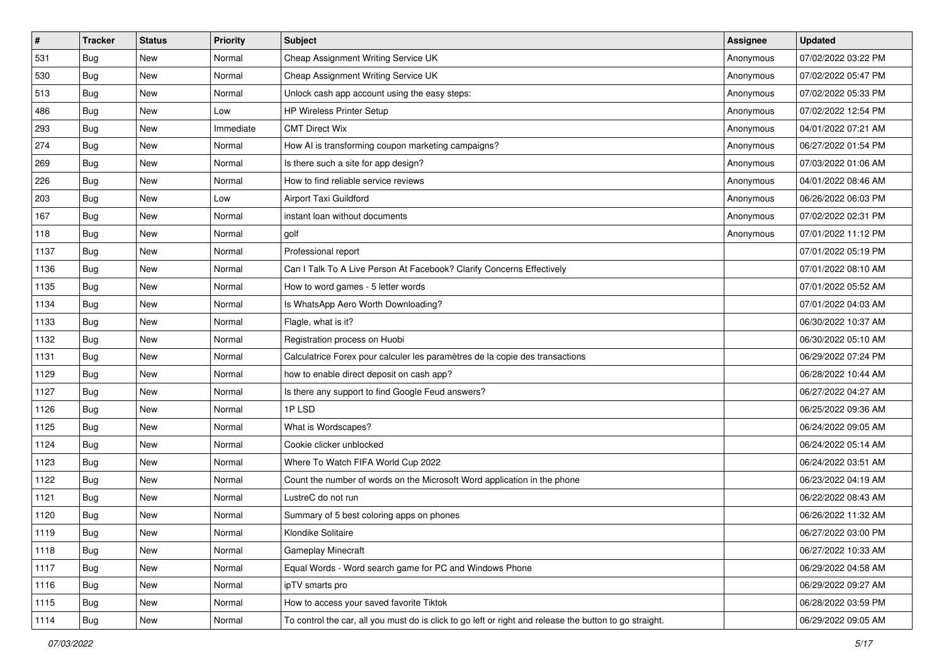| $\vert$ # | <b>Tracker</b> | <b>Status</b> | Priority  | Subject                                                                                                 | <b>Assignee</b> | <b>Updated</b>      |
|-----------|----------------|---------------|-----------|---------------------------------------------------------------------------------------------------------|-----------------|---------------------|
| 531       | Bug            | New           | Normal    | Cheap Assignment Writing Service UK                                                                     | Anonymous       | 07/02/2022 03:22 PM |
| 530       | Bug            | New           | Normal    | Cheap Assignment Writing Service UK                                                                     | Anonymous       | 07/02/2022 05:47 PM |
| 513       | Bug            | New           | Normal    | Unlock cash app account using the easy steps:                                                           | Anonymous       | 07/02/2022 05:33 PM |
| 486       | Bug            | New           | Low       | HP Wireless Printer Setup                                                                               | Anonymous       | 07/02/2022 12:54 PM |
| 293       | Bug            | New           | Immediate | <b>CMT Direct Wix</b>                                                                                   | Anonymous       | 04/01/2022 07:21 AM |
| 274       | Bug            | New           | Normal    | How AI is transforming coupon marketing campaigns?                                                      | Anonymous       | 06/27/2022 01:54 PM |
| 269       | Bug            | New           | Normal    | Is there such a site for app design?                                                                    | Anonymous       | 07/03/2022 01:06 AM |
| 226       | Bug            | New           | Normal    | How to find reliable service reviews                                                                    | Anonymous       | 04/01/2022 08:46 AM |
| 203       | Bug            | New           | Low       | Airport Taxi Guildford                                                                                  | Anonymous       | 06/26/2022 06:03 PM |
| 167       | Bug            | New           | Normal    | instant loan without documents                                                                          | Anonymous       | 07/02/2022 02:31 PM |
| 118       | Bug            | New           | Normal    | golf                                                                                                    | Anonymous       | 07/01/2022 11:12 PM |
| 1137      | <b>Bug</b>     | New           | Normal    | Professional report                                                                                     |                 | 07/01/2022 05:19 PM |
| 1136      | Bug            | New           | Normal    | Can I Talk To A Live Person At Facebook? Clarify Concerns Effectively                                   |                 | 07/01/2022 08:10 AM |
| 1135      | Bug            | New           | Normal    | How to word games - 5 letter words                                                                      |                 | 07/01/2022 05:52 AM |
| 1134      | Bug            | New           | Normal    | Is WhatsApp Aero Worth Downloading?                                                                     |                 | 07/01/2022 04:03 AM |
| 1133      | Bug            | New           | Normal    | Flagle, what is it?                                                                                     |                 | 06/30/2022 10:37 AM |
| 1132      | Bug            | New           | Normal    | Registration process on Huobi                                                                           |                 | 06/30/2022 05:10 AM |
| 1131      | Bug            | New           | Normal    | Calculatrice Forex pour calculer les paramètres de la copie des transactions                            |                 | 06/29/2022 07:24 PM |
| 1129      | <b>Bug</b>     | New           | Normal    | how to enable direct deposit on cash app?                                                               |                 | 06/28/2022 10:44 AM |
| 1127      | Bug            | New           | Normal    | Is there any support to find Google Feud answers?                                                       |                 | 06/27/2022 04:27 AM |
| 1126      | Bug            | New           | Normal    | 1PLSD                                                                                                   |                 | 06/25/2022 09:36 AM |
| 1125      | Bug            | New           | Normal    | What is Wordscapes?                                                                                     |                 | 06/24/2022 09:05 AM |
| 1124      | Bug            | <b>New</b>    | Normal    | Cookie clicker unblocked                                                                                |                 | 06/24/2022 05:14 AM |
| 1123      | <b>Bug</b>     | New           | Normal    | Where To Watch FIFA World Cup 2022                                                                      |                 | 06/24/2022 03:51 AM |
| 1122      | <b>Bug</b>     | New           | Normal    | Count the number of words on the Microsoft Word application in the phone                                |                 | 06/23/2022 04:19 AM |
| 1121      | Bug            | New           | Normal    | LustreC do not run                                                                                      |                 | 06/22/2022 08:43 AM |
| 1120      | <b>Bug</b>     | New           | Normal    | Summary of 5 best coloring apps on phones                                                               |                 | 06/26/2022 11:32 AM |
| 1119      | <b>Bug</b>     | New           | Normal    | Klondike Solitaire                                                                                      |                 | 06/27/2022 03:00 PM |
| 1118      | <b>Bug</b>     | New           | Normal    | <b>Gameplay Minecraft</b>                                                                               |                 | 06/27/2022 10:33 AM |
| 1117      | <b>Bug</b>     | New           | Normal    | Equal Words - Word search game for PC and Windows Phone                                                 |                 | 06/29/2022 04:58 AM |
| 1116      | Bug            | New           | Normal    | ipTV smarts pro                                                                                         |                 | 06/29/2022 09:27 AM |
| 1115      | Bug            | New           | Normal    | How to access your saved favorite Tiktok                                                                |                 | 06/28/2022 03:59 PM |
| 1114      | <b>Bug</b>     | New           | Normal    | To control the car, all you must do is click to go left or right and release the button to go straight. |                 | 06/29/2022 09:05 AM |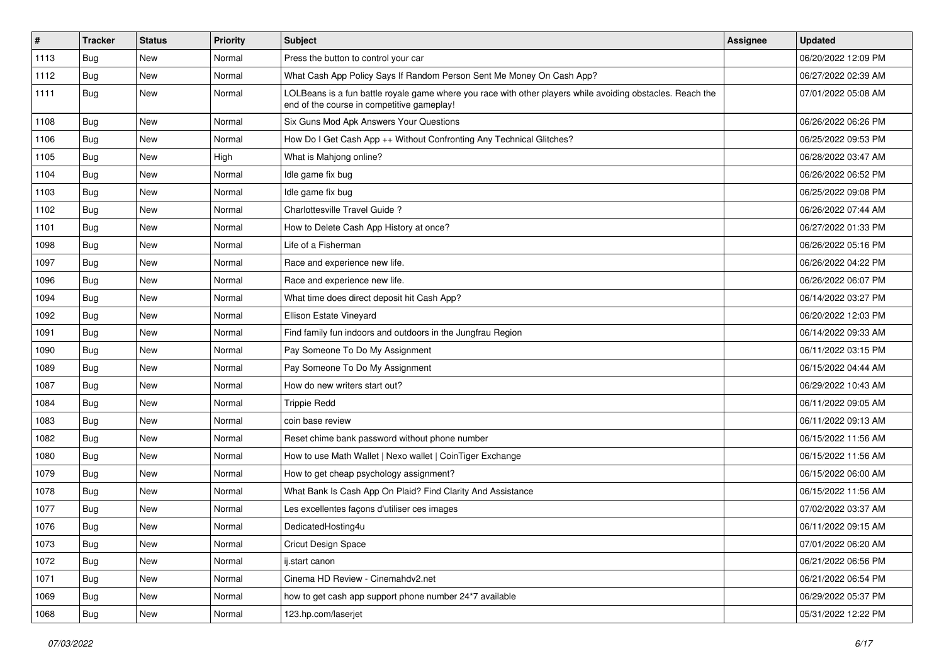| $\vert$ # | <b>Tracker</b> | <b>Status</b> | Priority | Subject                                                                                                                                                  | <b>Assignee</b> | <b>Updated</b>      |
|-----------|----------------|---------------|----------|----------------------------------------------------------------------------------------------------------------------------------------------------------|-----------------|---------------------|
| 1113      | Bug            | New           | Normal   | Press the button to control your car                                                                                                                     |                 | 06/20/2022 12:09 PM |
| 1112      | Bug            | New           | Normal   | What Cash App Policy Says If Random Person Sent Me Money On Cash App?                                                                                    |                 | 06/27/2022 02:39 AM |
| 1111      | Bug            | New           | Normal   | LOLBeans is a fun battle royale game where you race with other players while avoiding obstacles. Reach the<br>end of the course in competitive gameplay! |                 | 07/01/2022 05:08 AM |
| 1108      | Bug            | New           | Normal   | Six Guns Mod Apk Answers Your Questions                                                                                                                  |                 | 06/26/2022 06:26 PM |
| 1106      | Bug            | New           | Normal   | How Do I Get Cash App ++ Without Confronting Any Technical Glitches?                                                                                     |                 | 06/25/2022 09:53 PM |
| 1105      | Bug            | New           | High     | What is Mahjong online?                                                                                                                                  |                 | 06/28/2022 03:47 AM |
| 1104      | Bug            | New           | Normal   | Idle game fix bug                                                                                                                                        |                 | 06/26/2022 06:52 PM |
| 1103      | Bug            | New           | Normal   | Idle game fix bug                                                                                                                                        |                 | 06/25/2022 09:08 PM |
| 1102      | Bug            | New           | Normal   | Charlottesville Travel Guide?                                                                                                                            |                 | 06/26/2022 07:44 AM |
| 1101      | Bug            | New           | Normal   | How to Delete Cash App History at once?                                                                                                                  |                 | 06/27/2022 01:33 PM |
| 1098      | Bug            | New           | Normal   | Life of a Fisherman                                                                                                                                      |                 | 06/26/2022 05:16 PM |
| 1097      | Bug            | New           | Normal   | Race and experience new life.                                                                                                                            |                 | 06/26/2022 04:22 PM |
| 1096      | Bug            | New           | Normal   | Race and experience new life.                                                                                                                            |                 | 06/26/2022 06:07 PM |
| 1094      | Bug            | New           | Normal   | What time does direct deposit hit Cash App?                                                                                                              |                 | 06/14/2022 03:27 PM |
| 1092      | Bug            | New           | Normal   | Ellison Estate Vineyard                                                                                                                                  |                 | 06/20/2022 12:03 PM |
| 1091      | Bug            | New           | Normal   | Find family fun indoors and outdoors in the Jungfrau Region                                                                                              |                 | 06/14/2022 09:33 AM |
| 1090      | Bug            | New           | Normal   | Pay Someone To Do My Assignment                                                                                                                          |                 | 06/11/2022 03:15 PM |
| 1089      | Bug            | New           | Normal   | Pay Someone To Do My Assignment                                                                                                                          |                 | 06/15/2022 04:44 AM |
| 1087      | Bug            | New           | Normal   | How do new writers start out?                                                                                                                            |                 | 06/29/2022 10:43 AM |
| 1084      | Bug            | New           | Normal   | <b>Trippie Redd</b>                                                                                                                                      |                 | 06/11/2022 09:05 AM |
| 1083      | Bug            | New           | Normal   | coin base review                                                                                                                                         |                 | 06/11/2022 09:13 AM |
| 1082      | Bug            | New           | Normal   | Reset chime bank password without phone number                                                                                                           |                 | 06/15/2022 11:56 AM |
| 1080      | <b>Bug</b>     | New           | Normal   | How to use Math Wallet   Nexo wallet   CoinTiger Exchange                                                                                                |                 | 06/15/2022 11:56 AM |
| 1079      | Bug            | New           | Normal   | How to get cheap psychology assignment?                                                                                                                  |                 | 06/15/2022 06:00 AM |
| 1078      | Bug            | New           | Normal   | What Bank Is Cash App On Plaid? Find Clarity And Assistance                                                                                              |                 | 06/15/2022 11:56 AM |
| 1077      | <b>Bug</b>     | New           | Normal   | Les excellentes façons d'utiliser ces images                                                                                                             |                 | 07/02/2022 03:37 AM |
| 1076      | <b>Bug</b>     | New           | Normal   | DedicatedHosting4u                                                                                                                                       |                 | 06/11/2022 09:15 AM |
| 1073      | <b>Bug</b>     | New           | Normal   | Cricut Design Space                                                                                                                                      |                 | 07/01/2022 06:20 AM |
| 1072      | Bug            | New           | Normal   | ij.start canon                                                                                                                                           |                 | 06/21/2022 06:56 PM |
| 1071      | <b>Bug</b>     | New           | Normal   | Cinema HD Review - Cinemahdv2.net                                                                                                                        |                 | 06/21/2022 06:54 PM |
| 1069      | Bug            | New           | Normal   | how to get cash app support phone number 24*7 available                                                                                                  |                 | 06/29/2022 05:37 PM |
| 1068      | <b>Bug</b>     | New           | Normal   | 123.hp.com/laserjet                                                                                                                                      |                 | 05/31/2022 12:22 PM |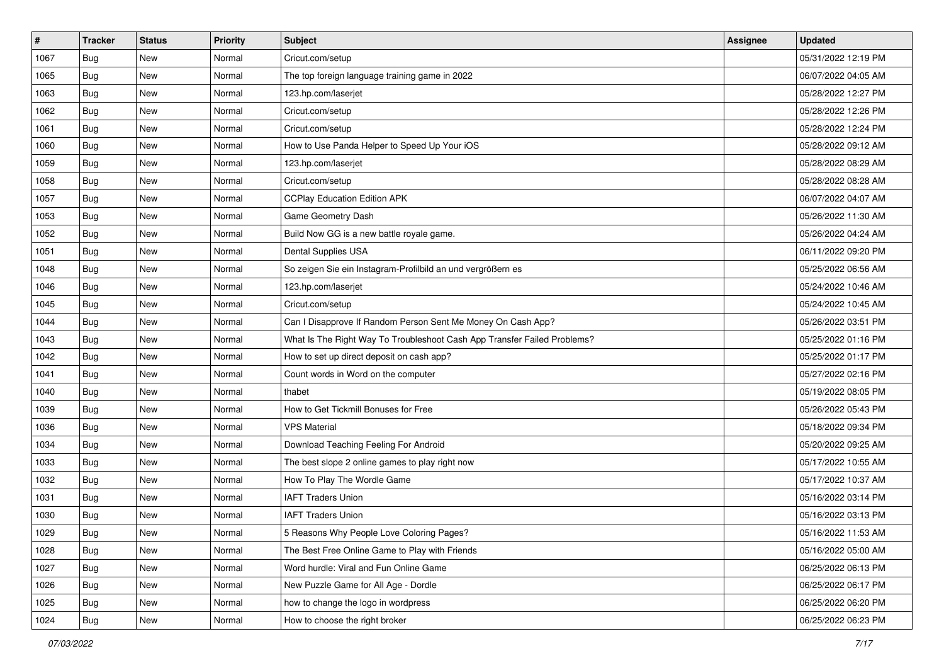| $\vert$ # | <b>Tracker</b> | <b>Status</b> | <b>Priority</b> | Subject                                                                  | <b>Assignee</b> | <b>Updated</b>      |
|-----------|----------------|---------------|-----------------|--------------------------------------------------------------------------|-----------------|---------------------|
| 1067      | Bug            | New           | Normal          | Cricut.com/setup                                                         |                 | 05/31/2022 12:19 PM |
| 1065      | Bug            | New           | Normal          | The top foreign language training game in 2022                           |                 | 06/07/2022 04:05 AM |
| 1063      | Bug            | New           | Normal          | 123.hp.com/laserjet                                                      |                 | 05/28/2022 12:27 PM |
| 1062      | Bug            | New           | Normal          | Cricut.com/setup                                                         |                 | 05/28/2022 12:26 PM |
| 1061      | Bug            | New           | Normal          | Cricut.com/setup                                                         |                 | 05/28/2022 12:24 PM |
| 1060      | <b>Bug</b>     | New           | Normal          | How to Use Panda Helper to Speed Up Your iOS                             |                 | 05/28/2022 09:12 AM |
| 1059      | Bug            | New           | Normal          | 123.hp.com/laserjet                                                      |                 | 05/28/2022 08:29 AM |
| 1058      | Bug            | New           | Normal          | Cricut.com/setup                                                         |                 | 05/28/2022 08:28 AM |
| 1057      | Bug            | New           | Normal          | <b>CCPlay Education Edition APK</b>                                      |                 | 06/07/2022 04:07 AM |
| 1053      | Bug            | New           | Normal          | Game Geometry Dash                                                       |                 | 05/26/2022 11:30 AM |
| 1052      | <b>Bug</b>     | New           | Normal          | Build Now GG is a new battle royale game.                                |                 | 05/26/2022 04:24 AM |
| 1051      | Bug            | New           | Normal          | Dental Supplies USA                                                      |                 | 06/11/2022 09:20 PM |
| 1048      | <b>Bug</b>     | New           | Normal          | So zeigen Sie ein Instagram-Profilbild an und vergrößern es              |                 | 05/25/2022 06:56 AM |
| 1046      | Bug            | New           | Normal          | 123.hp.com/laserjet                                                      |                 | 05/24/2022 10:46 AM |
| 1045      | <b>Bug</b>     | New           | Normal          | Cricut.com/setup                                                         |                 | 05/24/2022 10:45 AM |
| 1044      | Bug            | New           | Normal          | Can I Disapprove If Random Person Sent Me Money On Cash App?             |                 | 05/26/2022 03:51 PM |
| 1043      | Bug            | New           | Normal          | What Is The Right Way To Troubleshoot Cash App Transfer Failed Problems? |                 | 05/25/2022 01:16 PM |
| 1042      | Bug            | New           | Normal          | How to set up direct deposit on cash app?                                |                 | 05/25/2022 01:17 PM |
| 1041      | <b>Bug</b>     | New           | Normal          | Count words in Word on the computer                                      |                 | 05/27/2022 02:16 PM |
| 1040      | <b>Bug</b>     | <b>New</b>    | Normal          | thabet                                                                   |                 | 05/19/2022 08:05 PM |
| 1039      | Bug            | New           | Normal          | How to Get Tickmill Bonuses for Free                                     |                 | 05/26/2022 05:43 PM |
| 1036      | <b>Bug</b>     | New           | Normal          | <b>VPS Material</b>                                                      |                 | 05/18/2022 09:34 PM |
| 1034      | Bug            | New           | Normal          | Download Teaching Feeling For Android                                    |                 | 05/20/2022 09:25 AM |
| 1033      | <b>Bug</b>     | New           | Normal          | The best slope 2 online games to play right now                          |                 | 05/17/2022 10:55 AM |
| 1032      | Bug            | New           | Normal          | How To Play The Wordle Game                                              |                 | 05/17/2022 10:37 AM |
| 1031      | Bug            | New           | Normal          | <b>IAFT Traders Union</b>                                                |                 | 05/16/2022 03:14 PM |
| 1030      | Bug            | New           | Normal          | <b>IAFT Traders Union</b>                                                |                 | 05/16/2022 03:13 PM |
| 1029      | <b>Bug</b>     | New           | Normal          | 5 Reasons Why People Love Coloring Pages?                                |                 | 05/16/2022 11:53 AM |
| 1028      | Bug            | New           | Normal          | The Best Free Online Game to Play with Friends                           |                 | 05/16/2022 05:00 AM |
| 1027      | <b>Bug</b>     | New           | Normal          | Word hurdle: Viral and Fun Online Game                                   |                 | 06/25/2022 06:13 PM |
| 1026      | Bug            | New           | Normal          | New Puzzle Game for All Age - Dordle                                     |                 | 06/25/2022 06:17 PM |
| 1025      | Bug            | New           | Normal          | how to change the logo in wordpress                                      |                 | 06/25/2022 06:20 PM |
| 1024      | <b>Bug</b>     | New           | Normal          | How to choose the right broker                                           |                 | 06/25/2022 06:23 PM |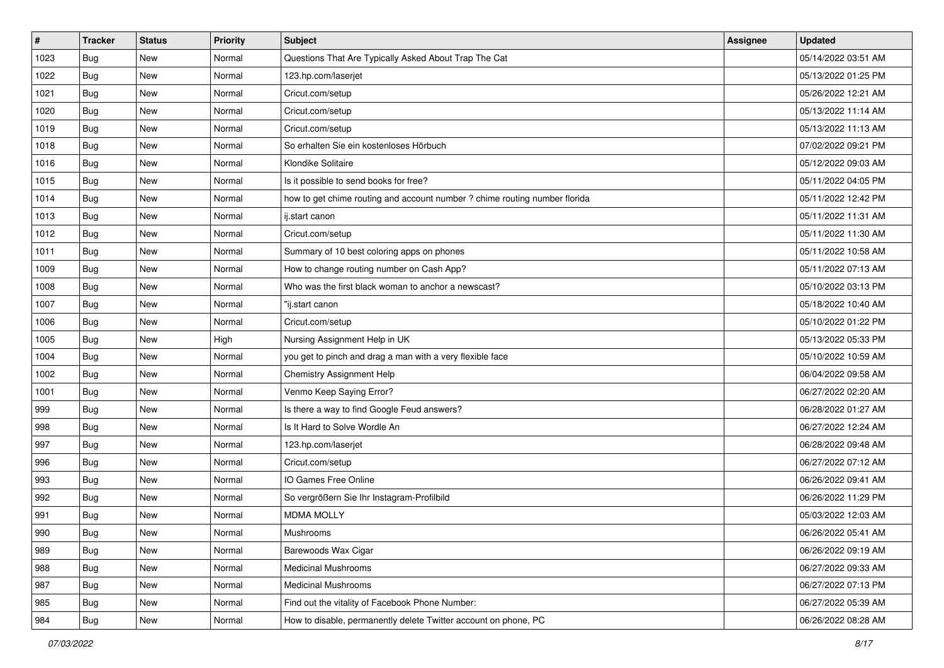| $\vert$ # | <b>Tracker</b> | <b>Status</b> | <b>Priority</b> | Subject                                                                    | <b>Assignee</b> | <b>Updated</b>      |
|-----------|----------------|---------------|-----------------|----------------------------------------------------------------------------|-----------------|---------------------|
| 1023      | Bug            | New           | Normal          | Questions That Are Typically Asked About Trap The Cat                      |                 | 05/14/2022 03:51 AM |
| 1022      | Bug            | New           | Normal          | 123.hp.com/laserjet                                                        |                 | 05/13/2022 01:25 PM |
| 1021      | Bug            | New           | Normal          | Cricut.com/setup                                                           |                 | 05/26/2022 12:21 AM |
| 1020      | Bug            | New           | Normal          | Cricut.com/setup                                                           |                 | 05/13/2022 11:14 AM |
| 1019      | Bug            | New           | Normal          | Cricut.com/setup                                                           |                 | 05/13/2022 11:13 AM |
| 1018      | <b>Bug</b>     | New           | Normal          | So erhalten Sie ein kostenloses Hörbuch                                    |                 | 07/02/2022 09:21 PM |
| 1016      | Bug            | New           | Normal          | Klondike Solitaire                                                         |                 | 05/12/2022 09:03 AM |
| 1015      | Bug            | New           | Normal          | Is it possible to send books for free?                                     |                 | 05/11/2022 04:05 PM |
| 1014      | Bug            | New           | Normal          | how to get chime routing and account number ? chime routing number florida |                 | 05/11/2022 12:42 PM |
| 1013      | Bug            | New           | Normal          | ij.start canon                                                             |                 | 05/11/2022 11:31 AM |
| 1012      | Bug            | New           | Normal          | Cricut.com/setup                                                           |                 | 05/11/2022 11:30 AM |
| 1011      | Bug            | New           | Normal          | Summary of 10 best coloring apps on phones                                 |                 | 05/11/2022 10:58 AM |
| 1009      | Bug            | New           | Normal          | How to change routing number on Cash App?                                  |                 | 05/11/2022 07:13 AM |
| 1008      | Bug            | New           | Normal          | Who was the first black woman to anchor a newscast?                        |                 | 05/10/2022 03:13 PM |
| 1007      | Bug            | New           | Normal          | "ij.start canon                                                            |                 | 05/18/2022 10:40 AM |
| 1006      | Bug            | New           | Normal          | Cricut.com/setup                                                           |                 | 05/10/2022 01:22 PM |
| 1005      | Bug            | New           | High            | Nursing Assignment Help in UK                                              |                 | 05/13/2022 05:33 PM |
| 1004      | Bug            | New           | Normal          | you get to pinch and drag a man with a very flexible face                  |                 | 05/10/2022 10:59 AM |
| 1002      | Bug            | New           | Normal          | Chemistry Assignment Help                                                  |                 | 06/04/2022 09:58 AM |
| 1001      | <b>Bug</b>     | New           | Normal          | Venmo Keep Saying Error?                                                   |                 | 06/27/2022 02:20 AM |
| 999       | Bug            | New           | Normal          | Is there a way to find Google Feud answers?                                |                 | 06/28/2022 01:27 AM |
| 998       | Bug            | New           | Normal          | Is It Hard to Solve Wordle An                                              |                 | 06/27/2022 12:24 AM |
| 997       | Bug            | New           | Normal          | 123.hp.com/laserjet                                                        |                 | 06/28/2022 09:48 AM |
| 996       | <b>Bug</b>     | New           | Normal          | Cricut.com/setup                                                           |                 | 06/27/2022 07:12 AM |
| 993       | Bug            | New           | Normal          | IO Games Free Online                                                       |                 | 06/26/2022 09:41 AM |
| 992       | Bug            | New           | Normal          | So vergrößern Sie Ihr Instagram-Profilbild                                 |                 | 06/26/2022 11:29 PM |
| 991       | <b>Bug</b>     | New           | Normal          | <b>MDMA MOLLY</b>                                                          |                 | 05/03/2022 12:03 AM |
| 990       | <b>Bug</b>     | New           | Normal          | Mushrooms                                                                  |                 | 06/26/2022 05:41 AM |
| 989       | Bug            | New           | Normal          | Barewoods Wax Cigar                                                        |                 | 06/26/2022 09:19 AM |
| 988       | Bug            | New           | Normal          | <b>Medicinal Mushrooms</b>                                                 |                 | 06/27/2022 09:33 AM |
| 987       | Bug            | New           | Normal          | <b>Medicinal Mushrooms</b>                                                 |                 | 06/27/2022 07:13 PM |
| 985       | Bug            | New           | Normal          | Find out the vitality of Facebook Phone Number:                            |                 | 06/27/2022 05:39 AM |
| 984       | <b>Bug</b>     | New           | Normal          | How to disable, permanently delete Twitter account on phone, PC            |                 | 06/26/2022 08:28 AM |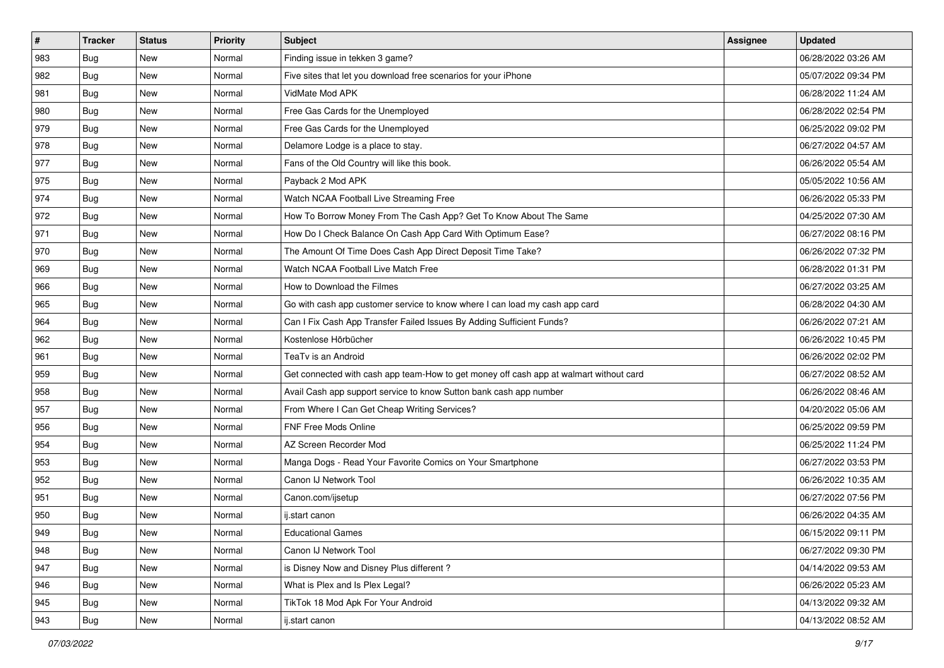| $\sharp$ | <b>Tracker</b> | <b>Status</b> | Priority | Subject                                                                                | <b>Assignee</b> | <b>Updated</b>      |
|----------|----------------|---------------|----------|----------------------------------------------------------------------------------------|-----------------|---------------------|
| 983      | Bug            | New           | Normal   | Finding issue in tekken 3 game?                                                        |                 | 06/28/2022 03:26 AM |
| 982      | Bug            | New           | Normal   | Five sites that let you download free scenarios for your iPhone                        |                 | 05/07/2022 09:34 PM |
| 981      | Bug            | New           | Normal   | VidMate Mod APK                                                                        |                 | 06/28/2022 11:24 AM |
| 980      | Bug            | <b>New</b>    | Normal   | Free Gas Cards for the Unemployed                                                      |                 | 06/28/2022 02:54 PM |
| 979      | Bug            | New           | Normal   | Free Gas Cards for the Unemployed                                                      |                 | 06/25/2022 09:02 PM |
| 978      | Bug            | New           | Normal   | Delamore Lodge is a place to stay.                                                     |                 | 06/27/2022 04:57 AM |
| 977      | Bug            | New           | Normal   | Fans of the Old Country will like this book.                                           |                 | 06/26/2022 05:54 AM |
| 975      | Bug            | New           | Normal   | Payback 2 Mod APK                                                                      |                 | 05/05/2022 10:56 AM |
| 974      | Bug            | New           | Normal   | Watch NCAA Football Live Streaming Free                                                |                 | 06/26/2022 05:33 PM |
| 972      | Bug            | New           | Normal   | How To Borrow Money From The Cash App? Get To Know About The Same                      |                 | 04/25/2022 07:30 AM |
| 971      | <b>Bug</b>     | New           | Normal   | How Do I Check Balance On Cash App Card With Optimum Ease?                             |                 | 06/27/2022 08:16 PM |
| 970      | Bug            | New           | Normal   | The Amount Of Time Does Cash App Direct Deposit Time Take?                             |                 | 06/26/2022 07:32 PM |
| 969      | Bug            | <b>New</b>    | Normal   | Watch NCAA Football Live Match Free                                                    |                 | 06/28/2022 01:31 PM |
| 966      | Bug            | New           | Normal   | How to Download the Filmes                                                             |                 | 06/27/2022 03:25 AM |
| 965      | <b>Bug</b>     | New           | Normal   | Go with cash app customer service to know where I can load my cash app card            |                 | 06/28/2022 04:30 AM |
| 964      | Bug            | New           | Normal   | Can I Fix Cash App Transfer Failed Issues By Adding Sufficient Funds?                  |                 | 06/26/2022 07:21 AM |
| 962      | Bug            | New           | Normal   | Kostenlose Hörbücher                                                                   |                 | 06/26/2022 10:45 PM |
| 961      | Bug            | New           | Normal   | TeaTv is an Android                                                                    |                 | 06/26/2022 02:02 PM |
| 959      | Bug            | New           | Normal   | Get connected with cash app team-How to get money off cash app at walmart without card |                 | 06/27/2022 08:52 AM |
| 958      | Bug            | New           | Normal   | Avail Cash app support service to know Sutton bank cash app number                     |                 | 06/26/2022 08:46 AM |
| 957      | Bug            | New           | Normal   | From Where I Can Get Cheap Writing Services?                                           |                 | 04/20/2022 05:06 AM |
| 956      | Bug            | New           | Normal   | <b>FNF Free Mods Online</b>                                                            |                 | 06/25/2022 09:59 PM |
| 954      | <b>Bug</b>     | New           | Normal   | AZ Screen Recorder Mod                                                                 |                 | 06/25/2022 11:24 PM |
| 953      | <b>Bug</b>     | New           | Normal   | Manga Dogs - Read Your Favorite Comics on Your Smartphone                              |                 | 06/27/2022 03:53 PM |
| 952      | Bug            | New           | Normal   | Canon IJ Network Tool                                                                  |                 | 06/26/2022 10:35 AM |
| 951      | Bug            | <b>New</b>    | Normal   | Canon.com/ijsetup                                                                      |                 | 06/27/2022 07:56 PM |
| 950      | Bug            | New           | Normal   | ij.start canon                                                                         |                 | 06/26/2022 04:35 AM |
| 949      | <b>Bug</b>     | New           | Normal   | <b>Educational Games</b>                                                               |                 | 06/15/2022 09:11 PM |
| 948      | Bug            | New           | Normal   | Canon IJ Network Tool                                                                  |                 | 06/27/2022 09:30 PM |
| 947      | Bug            | New           | Normal   | is Disney Now and Disney Plus different?                                               |                 | 04/14/2022 09:53 AM |
| 946      | Bug            | New           | Normal   | What is Plex and Is Plex Legal?                                                        |                 | 06/26/2022 05:23 AM |
| 945      | <b>Bug</b>     | New           | Normal   | TikTok 18 Mod Apk For Your Android                                                     |                 | 04/13/2022 09:32 AM |
| 943      | <b>Bug</b>     | New           | Normal   | ij.start canon                                                                         |                 | 04/13/2022 08:52 AM |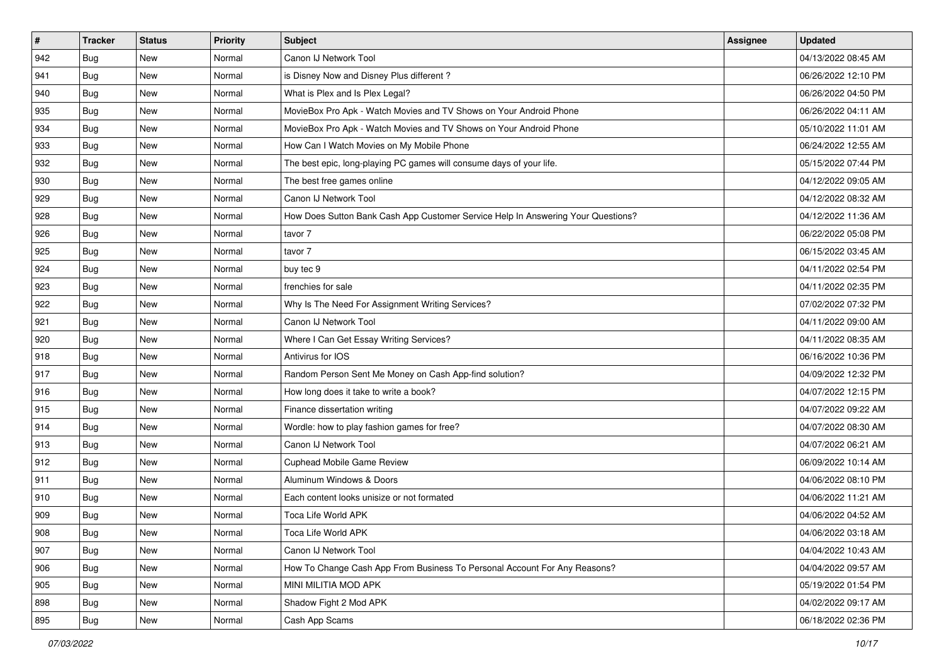| #   | <b>Tracker</b> | <b>Status</b> | <b>Priority</b> | Subject                                                                          | Assignee | <b>Updated</b>      |
|-----|----------------|---------------|-----------------|----------------------------------------------------------------------------------|----------|---------------------|
| 942 | Bug            | New           | Normal          | Canon IJ Network Tool                                                            |          | 04/13/2022 08:45 AM |
| 941 | Bug            | New           | Normal          | is Disney Now and Disney Plus different?                                         |          | 06/26/2022 12:10 PM |
| 940 | Bug            | New           | Normal          | What is Plex and Is Plex Legal?                                                  |          | 06/26/2022 04:50 PM |
| 935 | Bug            | New           | Normal          | MovieBox Pro Apk - Watch Movies and TV Shows on Your Android Phone               |          | 06/26/2022 04:11 AM |
| 934 | Bug            | New           | Normal          | MovieBox Pro Apk - Watch Movies and TV Shows on Your Android Phone               |          | 05/10/2022 11:01 AM |
| 933 | Bug            | New           | Normal          | How Can I Watch Movies on My Mobile Phone                                        |          | 06/24/2022 12:55 AM |
| 932 | Bug            | New           | Normal          | The best epic, long-playing PC games will consume days of your life.             |          | 05/15/2022 07:44 PM |
| 930 | Bug            | New           | Normal          | The best free games online                                                       |          | 04/12/2022 09:05 AM |
| 929 | Bug            | New           | Normal          | Canon IJ Network Tool                                                            |          | 04/12/2022 08:32 AM |
| 928 | Bug            | New           | Normal          | How Does Sutton Bank Cash App Customer Service Help In Answering Your Questions? |          | 04/12/2022 11:36 AM |
| 926 | <b>Bug</b>     | New           | Normal          | tavor 7                                                                          |          | 06/22/2022 05:08 PM |
| 925 | Bug            | New           | Normal          | tavor 7                                                                          |          | 06/15/2022 03:45 AM |
| 924 | Bug            | New           | Normal          | buy tec 9                                                                        |          | 04/11/2022 02:54 PM |
| 923 | Bug            | New           | Normal          | frenchies for sale                                                               |          | 04/11/2022 02:35 PM |
| 922 | <b>Bug</b>     | New           | Normal          | Why Is The Need For Assignment Writing Services?                                 |          | 07/02/2022 07:32 PM |
| 921 | Bug            | New           | Normal          | Canon IJ Network Tool                                                            |          | 04/11/2022 09:00 AM |
| 920 | <b>Bug</b>     | New           | Normal          | Where I Can Get Essay Writing Services?                                          |          | 04/11/2022 08:35 AM |
| 918 | Bug            | New           | Normal          | Antivirus for IOS                                                                |          | 06/16/2022 10:36 PM |
| 917 | Bug            | New           | Normal          | Random Person Sent Me Money on Cash App-find solution?                           |          | 04/09/2022 12:32 PM |
| 916 | Bug            | New           | Normal          | How long does it take to write a book?                                           |          | 04/07/2022 12:15 PM |
| 915 | Bug            | New           | Normal          | Finance dissertation writing                                                     |          | 04/07/2022 09:22 AM |
| 914 | Bug            | New           | Normal          | Wordle: how to play fashion games for free?                                      |          | 04/07/2022 08:30 AM |
| 913 | Bug            | New           | Normal          | Canon IJ Network Tool                                                            |          | 04/07/2022 06:21 AM |
| 912 | <b>Bug</b>     | New           | Normal          | <b>Cuphead Mobile Game Review</b>                                                |          | 06/09/2022 10:14 AM |
| 911 | Bug            | New           | Normal          | Aluminum Windows & Doors                                                         |          | 04/06/2022 08:10 PM |
| 910 | Bug            | New           | Normal          | Each content looks unisize or not formated                                       |          | 04/06/2022 11:21 AM |
| 909 | <b>Bug</b>     | New           | Normal          | Toca Life World APK                                                              |          | 04/06/2022 04:52 AM |
| 908 | <b>Bug</b>     | New           | Normal          | Toca Life World APK                                                              |          | 04/06/2022 03:18 AM |
| 907 | <b>Bug</b>     | New           | Normal          | Canon IJ Network Tool                                                            |          | 04/04/2022 10:43 AM |
| 906 | <b>Bug</b>     | New           | Normal          | How To Change Cash App From Business To Personal Account For Any Reasons?        |          | 04/04/2022 09:57 AM |
| 905 | <b>Bug</b>     | New           | Normal          | MINI MILITIA MOD APK                                                             |          | 05/19/2022 01:54 PM |
| 898 | <b>Bug</b>     | New           | Normal          | Shadow Fight 2 Mod APK                                                           |          | 04/02/2022 09:17 AM |
| 895 | <b>Bug</b>     | New           | Normal          | Cash App Scams                                                                   |          | 06/18/2022 02:36 PM |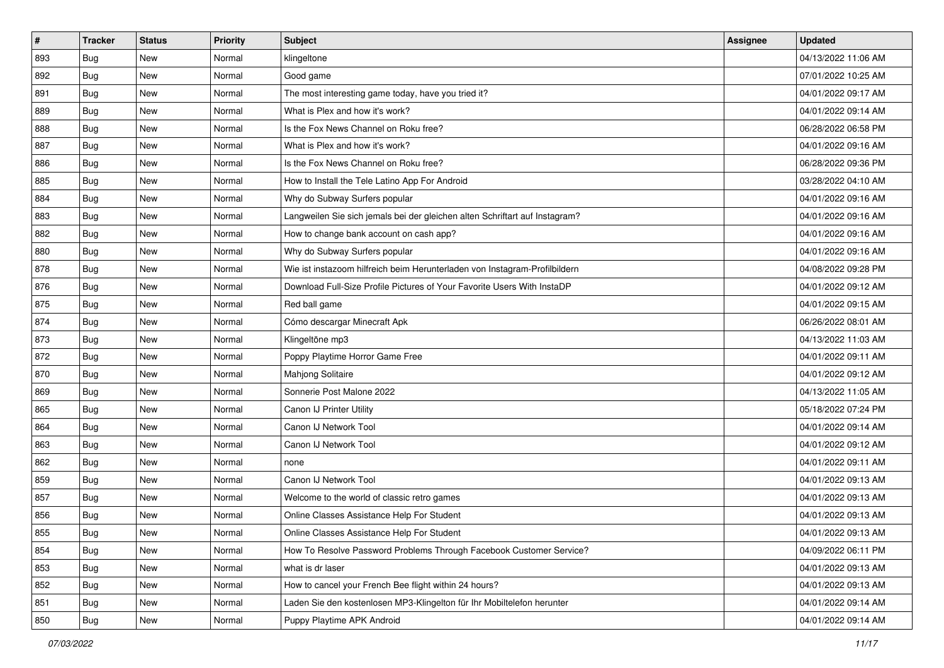| #   | <b>Tracker</b> | <b>Status</b> | <b>Priority</b> | <b>Subject</b>                                                              | <b>Assignee</b> | <b>Updated</b>      |
|-----|----------------|---------------|-----------------|-----------------------------------------------------------------------------|-----------------|---------------------|
| 893 | Bug            | New           | Normal          | klingeltone                                                                 |                 | 04/13/2022 11:06 AM |
| 892 | Bug            | <b>New</b>    | Normal          | Good game                                                                   |                 | 07/01/2022 10:25 AM |
| 891 | Bug            | New           | Normal          | The most interesting game today, have you tried it?                         |                 | 04/01/2022 09:17 AM |
| 889 | Bug            | New           | Normal          | What is Plex and how it's work?                                             |                 | 04/01/2022 09:14 AM |
| 888 | Bug            | New           | Normal          | Is the Fox News Channel on Roku free?                                       |                 | 06/28/2022 06:58 PM |
| 887 | Bug            | New           | Normal          | What is Plex and how it's work?                                             |                 | 04/01/2022 09:16 AM |
| 886 | <b>Bug</b>     | <b>New</b>    | Normal          | Is the Fox News Channel on Roku free?                                       |                 | 06/28/2022 09:36 PM |
| 885 | Bug            | New           | Normal          | How to Install the Tele Latino App For Android                              |                 | 03/28/2022 04:10 AM |
| 884 | Bug            | <b>New</b>    | Normal          | Why do Subway Surfers popular                                               |                 | 04/01/2022 09:16 AM |
| 883 | <b>Bug</b>     | New           | Normal          | Langweilen Sie sich jemals bei der gleichen alten Schriftart auf Instagram? |                 | 04/01/2022 09:16 AM |
| 882 | <b>Bug</b>     | New           | Normal          | How to change bank account on cash app?                                     |                 | 04/01/2022 09:16 AM |
| 880 | Bug            | New           | Normal          | Why do Subway Surfers popular                                               |                 | 04/01/2022 09:16 AM |
| 878 | Bug            | New           | Normal          | Wie ist instazoom hilfreich beim Herunterladen von Instagram-Profilbildern  |                 | 04/08/2022 09:28 PM |
| 876 | Bug            | New           | Normal          | Download Full-Size Profile Pictures of Your Favorite Users With InstaDP     |                 | 04/01/2022 09:12 AM |
| 875 | Bug            | New           | Normal          | Red ball game                                                               |                 | 04/01/2022 09:15 AM |
| 874 | Bug            | <b>New</b>    | Normal          | Cómo descargar Minecraft Apk                                                |                 | 06/26/2022 08:01 AM |
| 873 | Bug            | New           | Normal          | Klingeltöne mp3                                                             |                 | 04/13/2022 11:03 AM |
| 872 | Bug            | New           | Normal          | Poppy Playtime Horror Game Free                                             |                 | 04/01/2022 09:11 AM |
| 870 | Bug            | New           | Normal          | Mahjong Solitaire                                                           |                 | 04/01/2022 09:12 AM |
| 869 | <b>Bug</b>     | <b>New</b>    | Normal          | Sonnerie Post Malone 2022                                                   |                 | 04/13/2022 11:05 AM |
| 865 | Bug            | New           | Normal          | Canon IJ Printer Utility                                                    |                 | 05/18/2022 07:24 PM |
| 864 | Bug            | <b>New</b>    | Normal          | Canon IJ Network Tool                                                       |                 | 04/01/2022 09:14 AM |
| 863 | Bug            | New           | Normal          | Canon IJ Network Tool                                                       |                 | 04/01/2022 09:12 AM |
| 862 | <b>Bug</b>     | New           | Normal          | none                                                                        |                 | 04/01/2022 09:11 AM |
| 859 | Bug            | New           | Normal          | Canon IJ Network Tool                                                       |                 | 04/01/2022 09:13 AM |
| 857 | Bug            | New           | Normal          | Welcome to the world of classic retro games                                 |                 | 04/01/2022 09:13 AM |
| 856 | Bug            | <b>New</b>    | Normal          | Online Classes Assistance Help For Student                                  |                 | 04/01/2022 09:13 AM |
| 855 | <b>Bug</b>     | New           | Normal          | Online Classes Assistance Help For Student                                  |                 | 04/01/2022 09:13 AM |
| 854 | Bug            | New           | Normal          | How To Resolve Password Problems Through Facebook Customer Service?         |                 | 04/09/2022 06:11 PM |
| 853 | Bug            | New           | Normal          | what is dr laser                                                            |                 | 04/01/2022 09:13 AM |
| 852 | Bug            | New           | Normal          | How to cancel your French Bee flight within 24 hours?                       |                 | 04/01/2022 09:13 AM |
| 851 | Bug            | New           | Normal          | Laden Sie den kostenlosen MP3-Klingelton für Ihr Mobiltelefon herunter      |                 | 04/01/2022 09:14 AM |
| 850 | <b>Bug</b>     | New           | Normal          | Puppy Playtime APK Android                                                  |                 | 04/01/2022 09:14 AM |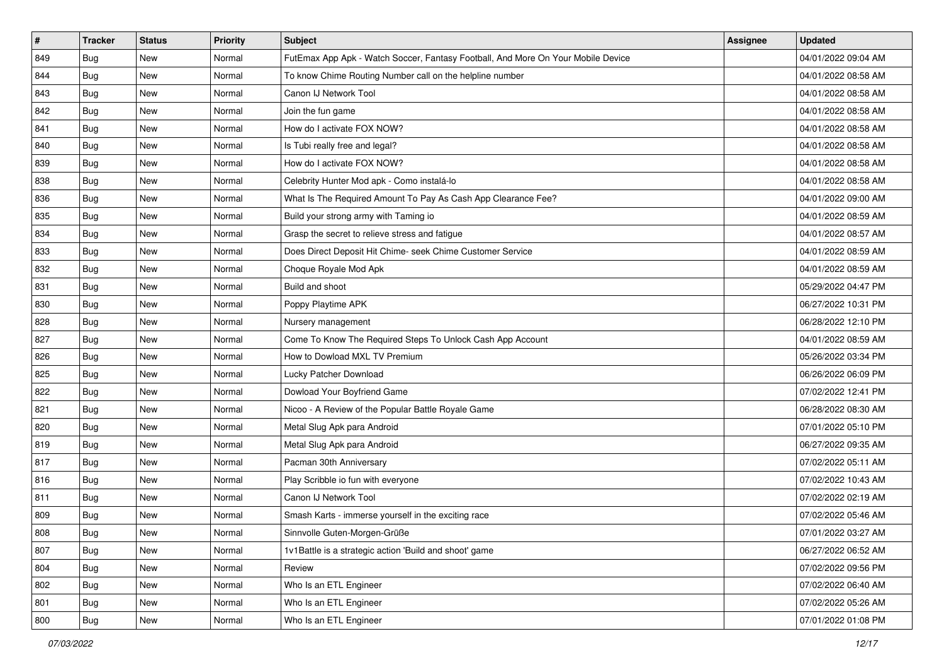| $\pmb{\#}$ | <b>Tracker</b> | <b>Status</b> | <b>Priority</b> | Subject                                                                          | <b>Assignee</b> | <b>Updated</b>      |
|------------|----------------|---------------|-----------------|----------------------------------------------------------------------------------|-----------------|---------------------|
| 849        | Bug            | New           | Normal          | FutEmax App Apk - Watch Soccer, Fantasy Football, And More On Your Mobile Device |                 | 04/01/2022 09:04 AM |
| 844        | <b>Bug</b>     | New           | Normal          | To know Chime Routing Number call on the helpline number                         |                 | 04/01/2022 08:58 AM |
| 843        | Bug            | New           | Normal          | Canon IJ Network Tool                                                            |                 | 04/01/2022 08:58 AM |
| 842        | Bug            | <b>New</b>    | Normal          | Join the fun game                                                                |                 | 04/01/2022 08:58 AM |
| 841        | Bug            | New           | Normal          | How do I activate FOX NOW?                                                       |                 | 04/01/2022 08:58 AM |
| 840        | Bug            | New           | Normal          | Is Tubi really free and legal?                                                   |                 | 04/01/2022 08:58 AM |
| 839        | Bug            | New           | Normal          | How do I activate FOX NOW?                                                       |                 | 04/01/2022 08:58 AM |
| 838        | <b>Bug</b>     | New           | Normal          | Celebrity Hunter Mod apk - Como instalá-lo                                       |                 | 04/01/2022 08:58 AM |
| 836        | Bug            | New           | Normal          | What Is The Required Amount To Pay As Cash App Clearance Fee?                    |                 | 04/01/2022 09:00 AM |
| 835        | Bug            | New           | Normal          | Build your strong army with Taming io                                            |                 | 04/01/2022 08:59 AM |
| 834        | <b>Bug</b>     | New           | Normal          | Grasp the secret to relieve stress and fatigue                                   |                 | 04/01/2022 08:57 AM |
| 833        | Bug            | New           | Normal          | Does Direct Deposit Hit Chime- seek Chime Customer Service                       |                 | 04/01/2022 08:59 AM |
| 832        | Bug            | <b>New</b>    | Normal          | Choque Royale Mod Apk                                                            |                 | 04/01/2022 08:59 AM |
| 831        | <b>Bug</b>     | New           | Normal          | Build and shoot                                                                  |                 | 05/29/2022 04:47 PM |
| 830        | <b>Bug</b>     | <b>New</b>    | Normal          | Poppy Playtime APK                                                               |                 | 06/27/2022 10:31 PM |
| 828        | Bug            | New           | Normal          | Nursery management                                                               |                 | 06/28/2022 12:10 PM |
| 827        | Bug            | <b>New</b>    | Normal          | Come To Know The Required Steps To Unlock Cash App Account                       |                 | 04/01/2022 08:59 AM |
| 826        | Bug            | New           | Normal          | How to Dowload MXL TV Premium                                                    |                 | 05/26/2022 03:34 PM |
| 825        | Bug            | New           | Normal          | Lucky Patcher Download                                                           |                 | 06/26/2022 06:09 PM |
| 822        | <b>Bug</b>     | <b>New</b>    | Normal          | Dowload Your Boyfriend Game                                                      |                 | 07/02/2022 12:41 PM |
| 821        | Bug            | New           | Normal          | Nicoo - A Review of the Popular Battle Royale Game                               |                 | 06/28/2022 08:30 AM |
| 820        | Bug            | New           | Normal          | Metal Slug Apk para Android                                                      |                 | 07/01/2022 05:10 PM |
| 819        | Bug            | New           | Normal          | Metal Slug Apk para Android                                                      |                 | 06/27/2022 09:35 AM |
| 817        | <b>Bug</b>     | New           | Normal          | Pacman 30th Anniversary                                                          |                 | 07/02/2022 05:11 AM |
| 816        | Bug            | New           | Normal          | Play Scribble io fun with everyone                                               |                 | 07/02/2022 10:43 AM |
| 811        | Bug            | New           | Normal          | Canon IJ Network Tool                                                            |                 | 07/02/2022 02:19 AM |
| 809        | <b>Bug</b>     | New           | Normal          | Smash Karts - immerse yourself in the exciting race                              |                 | 07/02/2022 05:46 AM |
| 808        | <b>Bug</b>     | New           | Normal          | Sinnvolle Guten-Morgen-Grüße                                                     |                 | 07/01/2022 03:27 AM |
| 807        | <b>Bug</b>     | New           | Normal          | 1v1Battle is a strategic action 'Build and shoot' game                           |                 | 06/27/2022 06:52 AM |
| 804        | <b>Bug</b>     | New           | Normal          | Review                                                                           |                 | 07/02/2022 09:56 PM |
| 802        | Bug            | New           | Normal          | Who Is an ETL Engineer                                                           |                 | 07/02/2022 06:40 AM |
| 801        | <b>Bug</b>     | New           | Normal          | Who Is an ETL Engineer                                                           |                 | 07/02/2022 05:26 AM |
| 800        | <b>Bug</b>     | New           | Normal          | Who Is an ETL Engineer                                                           |                 | 07/01/2022 01:08 PM |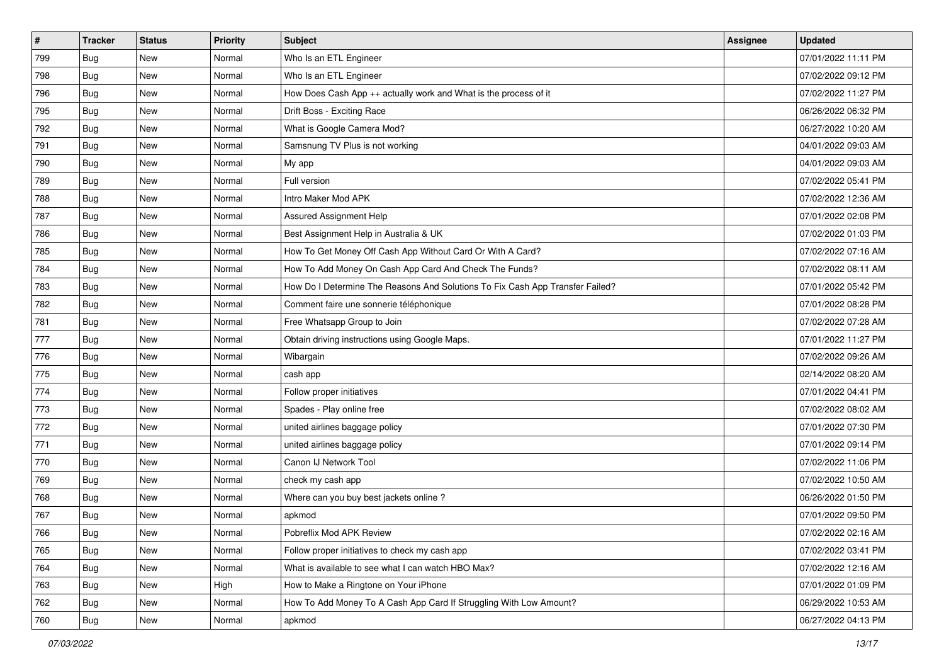| $\sharp$ | <b>Tracker</b> | <b>Status</b> | <b>Priority</b> | Subject                                                                       | <b>Assignee</b> | <b>Updated</b>      |
|----------|----------------|---------------|-----------------|-------------------------------------------------------------------------------|-----------------|---------------------|
| 799      | <b>Bug</b>     | New           | Normal          | Who Is an ETL Engineer                                                        |                 | 07/01/2022 11:11 PM |
| 798      | Bug            | <b>New</b>    | Normal          | Who Is an ETL Engineer                                                        |                 | 07/02/2022 09:12 PM |
| 796      | Bug            | New           | Normal          | How Does Cash App ++ actually work and What is the process of it              |                 | 07/02/2022 11:27 PM |
| 795      | Bug            | New           | Normal          | Drift Boss - Exciting Race                                                    |                 | 06/26/2022 06:32 PM |
| 792      | Bug            | New           | Normal          | What is Google Camera Mod?                                                    |                 | 06/27/2022 10:20 AM |
| 791      | <b>Bug</b>     | New           | Normal          | Samsnung TV Plus is not working                                               |                 | 04/01/2022 09:03 AM |
| 790      | <b>Bug</b>     | <b>New</b>    | Normal          | My app                                                                        |                 | 04/01/2022 09:03 AM |
| 789      | Bug            | New           | Normal          | Full version                                                                  |                 | 07/02/2022 05:41 PM |
| 788      | Bug            | New           | Normal          | Intro Maker Mod APK                                                           |                 | 07/02/2022 12:36 AM |
| 787      | <b>Bug</b>     | New           | Normal          | Assured Assignment Help                                                       |                 | 07/01/2022 02:08 PM |
| 786      | <b>Bug</b>     | New           | Normal          | Best Assignment Help in Australia & UK                                        |                 | 07/02/2022 01:03 PM |
| 785      | Bug            | New           | Normal          | How To Get Money Off Cash App Without Card Or With A Card?                    |                 | 07/02/2022 07:16 AM |
| 784      | Bug            | New           | Normal          | How To Add Money On Cash App Card And Check The Funds?                        |                 | 07/02/2022 08:11 AM |
| 783      | Bug            | New           | Normal          | How Do I Determine The Reasons And Solutions To Fix Cash App Transfer Failed? |                 | 07/01/2022 05:42 PM |
| 782      | Bug            | New           | Normal          | Comment faire une sonnerie téléphonique                                       |                 | 07/01/2022 08:28 PM |
| 781      | Bug            | New           | Normal          | Free Whatsapp Group to Join                                                   |                 | 07/02/2022 07:28 AM |
| 777      | Bug            | New           | Normal          | Obtain driving instructions using Google Maps.                                |                 | 07/01/2022 11:27 PM |
| 776      | Bug            | New           | Normal          | Wibargain                                                                     |                 | 07/02/2022 09:26 AM |
| 775      | Bug            | New           | Normal          | cash app                                                                      |                 | 02/14/2022 08:20 AM |
| 774      | <b>Bug</b>     | <b>New</b>    | Normal          | Follow proper initiatives                                                     |                 | 07/01/2022 04:41 PM |
| 773      | <b>Bug</b>     | New           | Normal          | Spades - Play online free                                                     |                 | 07/02/2022 08:02 AM |
| 772      | Bug            | <b>New</b>    | Normal          | united airlines baggage policy                                                |                 | 07/01/2022 07:30 PM |
| 771      | Bug            | New           | Normal          | united airlines baggage policy                                                |                 | 07/01/2022 09:14 PM |
| 770      | <b>Bug</b>     | New           | Normal          | Canon IJ Network Tool                                                         |                 | 07/02/2022 11:06 PM |
| 769      | <b>Bug</b>     | <b>New</b>    | Normal          | check my cash app                                                             |                 | 07/02/2022 10:50 AM |
| 768      | Bug            | New           | Normal          | Where can you buy best jackets online?                                        |                 | 06/26/2022 01:50 PM |
| 767      | <b>Bug</b>     | <b>New</b>    | Normal          | apkmod                                                                        |                 | 07/01/2022 09:50 PM |
| 766      | <b>Bug</b>     | New           | Normal          | Pobreflix Mod APK Review                                                      |                 | 07/02/2022 02:16 AM |
| 765      | Bug            | New           | Normal          | Follow proper initiatives to check my cash app                                |                 | 07/02/2022 03:41 PM |
| 764      | Bug            | New           | Normal          | What is available to see what I can watch HBO Max?                            |                 | 07/02/2022 12:16 AM |
| 763      | <b>Bug</b>     | New           | High            | How to Make a Ringtone on Your iPhone                                         |                 | 07/01/2022 01:09 PM |
| 762      | <b>Bug</b>     | New           | Normal          | How To Add Money To A Cash App Card If Struggling With Low Amount?            |                 | 06/29/2022 10:53 AM |
| 760      | <b>Bug</b>     | New           | Normal          | apkmod                                                                        |                 | 06/27/2022 04:13 PM |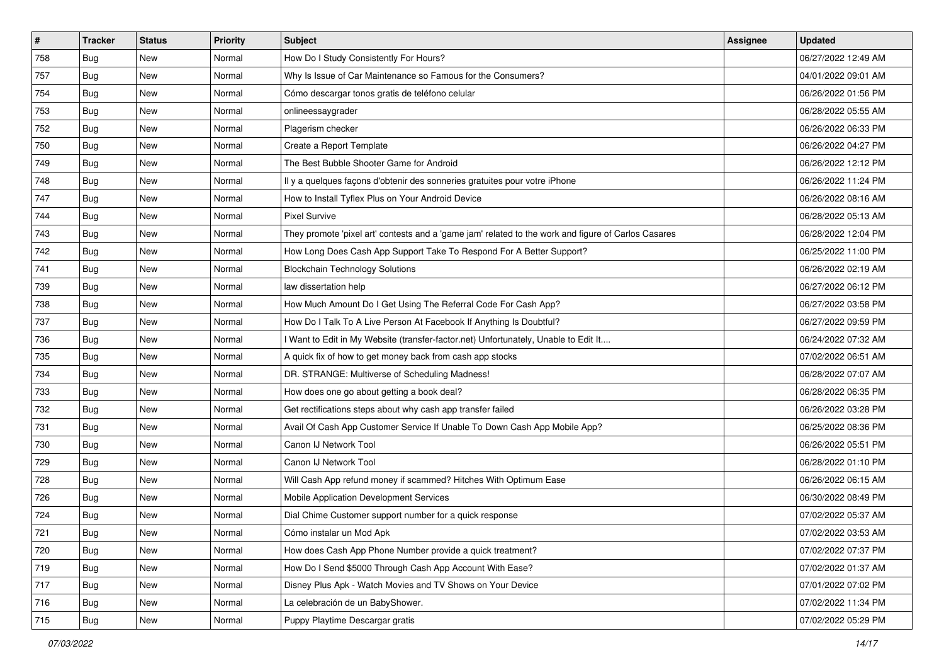| $\vert$ # | <b>Tracker</b> | <b>Status</b> | <b>Priority</b> | Subject                                                                                             | Assignee | <b>Updated</b>      |
|-----------|----------------|---------------|-----------------|-----------------------------------------------------------------------------------------------------|----------|---------------------|
| 758       | Bug            | New           | Normal          | How Do I Study Consistently For Hours?                                                              |          | 06/27/2022 12:49 AM |
| 757       | Bug            | New           | Normal          | Why Is Issue of Car Maintenance so Famous for the Consumers?                                        |          | 04/01/2022 09:01 AM |
| 754       | Bug            | New           | Normal          | Cómo descargar tonos gratis de teléfono celular                                                     |          | 06/26/2022 01:56 PM |
| 753       | Bug            | New           | Normal          | onlineessaygrader                                                                                   |          | 06/28/2022 05:55 AM |
| 752       | Bug            | New           | Normal          | Plagerism checker                                                                                   |          | 06/26/2022 06:33 PM |
| 750       | Bug            | New           | Normal          | Create a Report Template                                                                            |          | 06/26/2022 04:27 PM |
| 749       | Bug            | New           | Normal          | The Best Bubble Shooter Game for Android                                                            |          | 06/26/2022 12:12 PM |
| 748       | Bug            | New           | Normal          | Il y a quelques façons d'obtenir des sonneries gratuites pour votre iPhone                          |          | 06/26/2022 11:24 PM |
| 747       | Bug            | New           | Normal          | How to Install Tyflex Plus on Your Android Device                                                   |          | 06/26/2022 08:16 AM |
| 744       | Bug            | New           | Normal          | <b>Pixel Survive</b>                                                                                |          | 06/28/2022 05:13 AM |
| 743       | <b>Bug</b>     | New           | Normal          | They promote 'pixel art' contests and a 'game jam' related to the work and figure of Carlos Casares |          | 06/28/2022 12:04 PM |
| 742       | Bug            | New           | Normal          | How Long Does Cash App Support Take To Respond For A Better Support?                                |          | 06/25/2022 11:00 PM |
| 741       | Bug            | New           | Normal          | <b>Blockchain Technology Solutions</b>                                                              |          | 06/26/2022 02:19 AM |
| 739       | Bug            | New           | Normal          | law dissertation help                                                                               |          | 06/27/2022 06:12 PM |
| 738       | Bug            | New           | Normal          | How Much Amount Do I Get Using The Referral Code For Cash App?                                      |          | 06/27/2022 03:58 PM |
| 737       | Bug            | New           | Normal          | How Do I Talk To A Live Person At Facebook If Anything Is Doubtful?                                 |          | 06/27/2022 09:59 PM |
| 736       | Bug            | New           | Normal          | I Want to Edit in My Website (transfer-factor.net) Unfortunately, Unable to Edit It                 |          | 06/24/2022 07:32 AM |
| 735       | Bug            | New           | Normal          | A quick fix of how to get money back from cash app stocks                                           |          | 07/02/2022 06:51 AM |
| 734       | <b>Bug</b>     | New           | Normal          | DR. STRANGE: Multiverse of Scheduling Madness!                                                      |          | 06/28/2022 07:07 AM |
| 733       | Bug            | New           | Normal          | How does one go about getting a book deal?                                                          |          | 06/28/2022 06:35 PM |
| 732       | Bug            | New           | Normal          | Get rectifications steps about why cash app transfer failed                                         |          | 06/26/2022 03:28 PM |
| 731       | Bug            | New           | Normal          | Avail Of Cash App Customer Service If Unable To Down Cash App Mobile App?                           |          | 06/25/2022 08:36 PM |
| 730       | Bug            | New           | Normal          | Canon IJ Network Tool                                                                               |          | 06/26/2022 05:51 PM |
| 729       | <b>Bug</b>     | New           | Normal          | Canon IJ Network Tool                                                                               |          | 06/28/2022 01:10 PM |
| 728       | Bug            | New           | Normal          | Will Cash App refund money if scammed? Hitches With Optimum Ease                                    |          | 06/26/2022 06:15 AM |
| 726       | Bug            | New           | Normal          | Mobile Application Development Services                                                             |          | 06/30/2022 08:49 PM |
| 724       | Bug            | New           | Normal          | Dial Chime Customer support number for a quick response                                             |          | 07/02/2022 05:37 AM |
| 721       | <b>Bug</b>     | New           | Normal          | Cómo instalar un Mod Apk                                                                            |          | 07/02/2022 03:53 AM |
| 720       | <b>Bug</b>     | New           | Normal          | How does Cash App Phone Number provide a quick treatment?                                           |          | 07/02/2022 07:37 PM |
| 719       | <b>Bug</b>     | New           | Normal          | How Do I Send \$5000 Through Cash App Account With Ease?                                            |          | 07/02/2022 01:37 AM |
| 717       | Bug            | New           | Normal          | Disney Plus Apk - Watch Movies and TV Shows on Your Device                                          |          | 07/01/2022 07:02 PM |
| 716       | Bug            | New           | Normal          | La celebración de un BabyShower.                                                                    |          | 07/02/2022 11:34 PM |
| 715       | <b>Bug</b>     | New           | Normal          | Puppy Playtime Descargar gratis                                                                     |          | 07/02/2022 05:29 PM |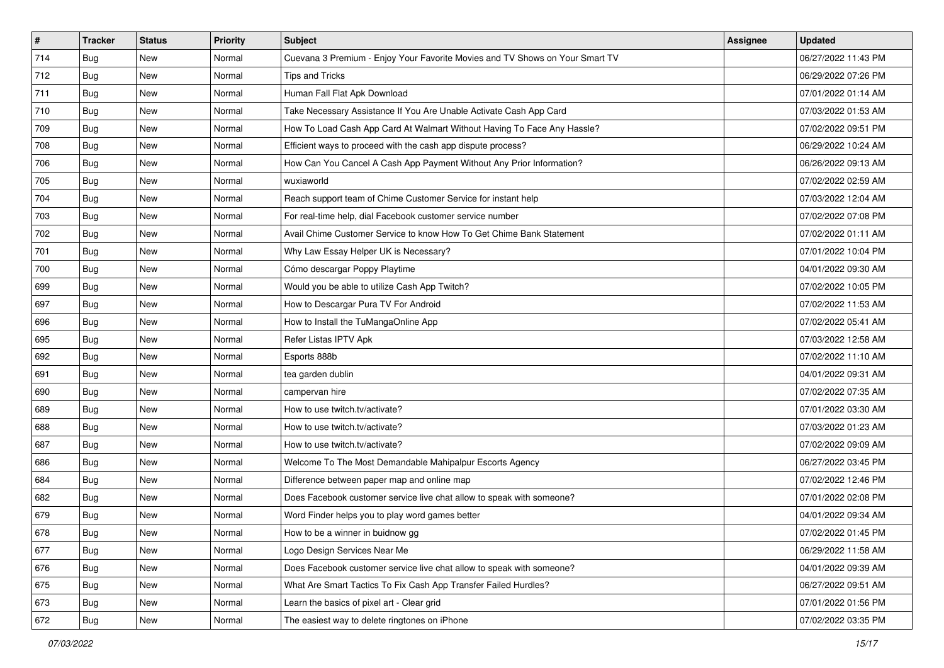| #   | <b>Tracker</b> | <b>Status</b> | <b>Priority</b> | Subject                                                                      | Assignee | <b>Updated</b>      |
|-----|----------------|---------------|-----------------|------------------------------------------------------------------------------|----------|---------------------|
| 714 | Bug            | New           | Normal          | Cuevana 3 Premium - Enjoy Your Favorite Movies and TV Shows on Your Smart TV |          | 06/27/2022 11:43 PM |
| 712 | Bug            | New           | Normal          | Tips and Tricks                                                              |          | 06/29/2022 07:26 PM |
| 711 | Bug            | New           | Normal          | Human Fall Flat Apk Download                                                 |          | 07/01/2022 01:14 AM |
| 710 | Bug            | New           | Normal          | Take Necessary Assistance If You Are Unable Activate Cash App Card           |          | 07/03/2022 01:53 AM |
| 709 | Bug            | New           | Normal          | How To Load Cash App Card At Walmart Without Having To Face Any Hassle?      |          | 07/02/2022 09:51 PM |
| 708 | Bug            | New           | Normal          | Efficient ways to proceed with the cash app dispute process?                 |          | 06/29/2022 10:24 AM |
| 706 | Bug            | New           | Normal          | How Can You Cancel A Cash App Payment Without Any Prior Information?         |          | 06/26/2022 09:13 AM |
| 705 | Bug            | New           | Normal          | wuxiaworld                                                                   |          | 07/02/2022 02:59 AM |
| 704 | Bug            | New           | Normal          | Reach support team of Chime Customer Service for instant help                |          | 07/03/2022 12:04 AM |
| 703 | Bug            | New           | Normal          | For real-time help, dial Facebook customer service number                    |          | 07/02/2022 07:08 PM |
| 702 | Bug            | New           | Normal          | Avail Chime Customer Service to know How To Get Chime Bank Statement         |          | 07/02/2022 01:11 AM |
| 701 | Bug            | New           | Normal          | Why Law Essay Helper UK is Necessary?                                        |          | 07/01/2022 10:04 PM |
| 700 | Bug            | New           | Normal          | Cómo descargar Poppy Playtime                                                |          | 04/01/2022 09:30 AM |
| 699 | Bug            | New           | Normal          | Would you be able to utilize Cash App Twitch?                                |          | 07/02/2022 10:05 PM |
| 697 | Bug            | New           | Normal          | How to Descargar Pura TV For Android                                         |          | 07/02/2022 11:53 AM |
| 696 | Bug            | New           | Normal          | How to Install the TuMangaOnline App                                         |          | 07/02/2022 05:41 AM |
| 695 | Bug            | New           | Normal          | Refer Listas IPTV Apk                                                        |          | 07/03/2022 12:58 AM |
| 692 | Bug            | New           | Normal          | Esports 888b                                                                 |          | 07/02/2022 11:10 AM |
| 691 | Bug            | New           | Normal          | tea garden dublin                                                            |          | 04/01/2022 09:31 AM |
| 690 | Bug            | New           | Normal          | campervan hire                                                               |          | 07/02/2022 07:35 AM |
| 689 | Bug            | New           | Normal          | How to use twitch.tv/activate?                                               |          | 07/01/2022 03:30 AM |
| 688 | Bug            | New           | Normal          | How to use twitch.tv/activate?                                               |          | 07/03/2022 01:23 AM |
| 687 | Bug            | New           | Normal          | How to use twitch.tv/activate?                                               |          | 07/02/2022 09:09 AM |
| 686 | Bug            | New           | Normal          | Welcome To The Most Demandable Mahipalpur Escorts Agency                     |          | 06/27/2022 03:45 PM |
| 684 | Bug            | New           | Normal          | Difference between paper map and online map                                  |          | 07/02/2022 12:46 PM |
| 682 | Bug            | New           | Normal          | Does Facebook customer service live chat allow to speak with someone?        |          | 07/01/2022 02:08 PM |
| 679 | Bug            | New           | Normal          | Word Finder helps you to play word games better                              |          | 04/01/2022 09:34 AM |
| 678 | <b>Bug</b>     | New           | Normal          | How to be a winner in buidnow gg                                             |          | 07/02/2022 01:45 PM |
| 677 | Bug            | New           | Normal          | Logo Design Services Near Me                                                 |          | 06/29/2022 11:58 AM |
| 676 | Bug            | New           | Normal          | Does Facebook customer service live chat allow to speak with someone?        |          | 04/01/2022 09:39 AM |
| 675 | Bug            | New           | Normal          | What Are Smart Tactics To Fix Cash App Transfer Failed Hurdles?              |          | 06/27/2022 09:51 AM |
| 673 | <b>Bug</b>     | New           | Normal          | Learn the basics of pixel art - Clear grid                                   |          | 07/01/2022 01:56 PM |
| 672 | <b>Bug</b>     | New           | Normal          | The easiest way to delete ringtones on iPhone                                |          | 07/02/2022 03:35 PM |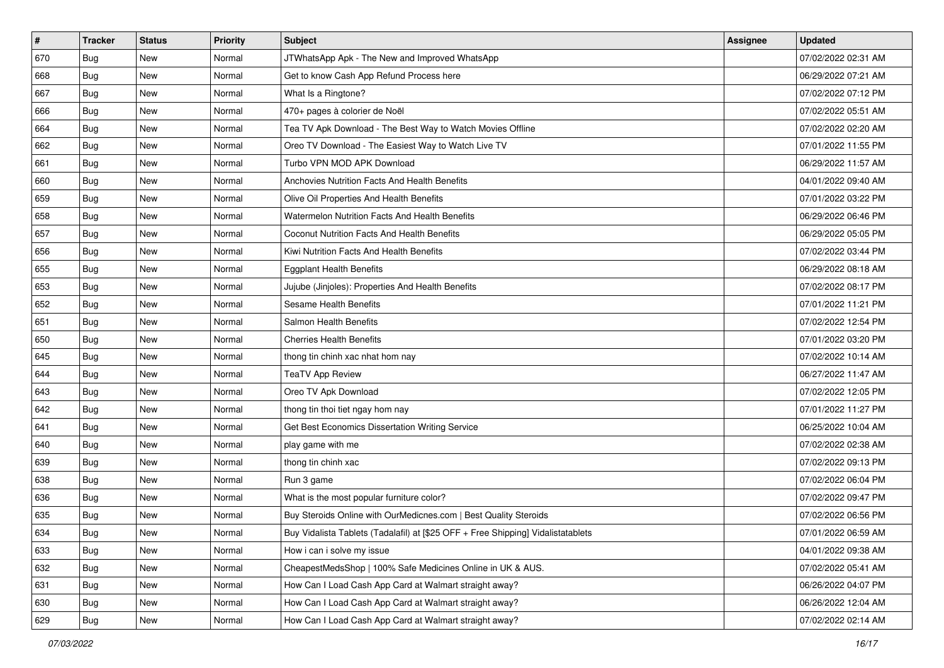| $\sharp$ | <b>Tracker</b> | <b>Status</b> | <b>Priority</b> | Subject                                                                          | <b>Assignee</b> | <b>Updated</b>      |
|----------|----------------|---------------|-----------------|----------------------------------------------------------------------------------|-----------------|---------------------|
| 670      | Bug            | New           | Normal          | JTWhatsApp Apk - The New and Improved WhatsApp                                   |                 | 07/02/2022 02:31 AM |
| 668      | Bug            | <b>New</b>    | Normal          | Get to know Cash App Refund Process here                                         |                 | 06/29/2022 07:21 AM |
| 667      | Bug            | New           | Normal          | What Is a Ringtone?                                                              |                 | 07/02/2022 07:12 PM |
| 666      | Bug            | New           | Normal          | 470+ pages à colorier de Noël                                                    |                 | 07/02/2022 05:51 AM |
| 664      | Bug            | New           | Normal          | Tea TV Apk Download - The Best Way to Watch Movies Offline                       |                 | 07/02/2022 02:20 AM |
| 662      | Bug            | New           | Normal          | Oreo TV Download - The Easiest Way to Watch Live TV                              |                 | 07/01/2022 11:55 PM |
| 661      | <b>Bug</b>     | <b>New</b>    | Normal          | Turbo VPN MOD APK Download                                                       |                 | 06/29/2022 11:57 AM |
| 660      | Bug            | New           | Normal          | Anchovies Nutrition Facts And Health Benefits                                    |                 | 04/01/2022 09:40 AM |
| 659      | Bug            | <b>New</b>    | Normal          | Olive Oil Properties And Health Benefits                                         |                 | 07/01/2022 03:22 PM |
| 658      | <b>Bug</b>     | New           | Normal          | Watermelon Nutrition Facts And Health Benefits                                   |                 | 06/29/2022 06:46 PM |
| 657      | <b>Bug</b>     | <b>New</b>    | Normal          | Coconut Nutrition Facts And Health Benefits                                      |                 | 06/29/2022 05:05 PM |
| 656      | Bug            | New           | Normal          | Kiwi Nutrition Facts And Health Benefits                                         |                 | 07/02/2022 03:44 PM |
| 655      | Bug            | New           | Normal          | <b>Eggplant Health Benefits</b>                                                  |                 | 06/29/2022 08:18 AM |
| 653      | Bug            | New           | Normal          | Jujube (Jinjoles): Properties And Health Benefits                                |                 | 07/02/2022 08:17 PM |
| 652      | Bug            | New           | Normal          | <b>Sesame Health Benefits</b>                                                    |                 | 07/01/2022 11:21 PM |
| 651      | Bug            | <b>New</b>    | Normal          | Salmon Health Benefits                                                           |                 | 07/02/2022 12:54 PM |
| 650      | Bug            | New           | Normal          | <b>Cherries Health Benefits</b>                                                  |                 | 07/01/2022 03:20 PM |
| 645      | Bug            | New           | Normal          | thong tin chinh xac nhat hom nay                                                 |                 | 07/02/2022 10:14 AM |
| 644      | Bug            | New           | Normal          | <b>TeaTV App Review</b>                                                          |                 | 06/27/2022 11:47 AM |
| 643      | <b>Bug</b>     | <b>New</b>    | Normal          | Oreo TV Apk Download                                                             |                 | 07/02/2022 12:05 PM |
| 642      | Bug            | New           | Normal          | thong tin thoi tiet ngay hom nay                                                 |                 | 07/01/2022 11:27 PM |
| 641      | Bug            | <b>New</b>    | Normal          | Get Best Economics Dissertation Writing Service                                  |                 | 06/25/2022 10:04 AM |
| 640      | Bug            | New           | Normal          | play game with me                                                                |                 | 07/02/2022 02:38 AM |
| 639      | <b>Bug</b>     | New           | Normal          | thong tin chinh xac                                                              |                 | 07/02/2022 09:13 PM |
| 638      | <b>Bug</b>     | New           | Normal          | Run 3 game                                                                       |                 | 07/02/2022 06:04 PM |
| 636      | Bug            | New           | Normal          | What is the most popular furniture color?                                        |                 | 07/02/2022 09:47 PM |
| 635      | <b>Bug</b>     | <b>New</b>    | Normal          | Buy Steroids Online with OurMedicnes.com   Best Quality Steroids                 |                 | 07/02/2022 06:56 PM |
| 634      | <b>Bug</b>     | New           | Normal          | Buy Vidalista Tablets (Tadalafil) at [\$25 OFF + Free Shipping] Vidalistatablets |                 | 07/01/2022 06:59 AM |
| 633      | Bug            | New           | Normal          | How i can i solve my issue                                                       |                 | 04/01/2022 09:38 AM |
| 632      | Bug            | New           | Normal          | CheapestMedsShop   100% Safe Medicines Online in UK & AUS.                       |                 | 07/02/2022 05:41 AM |
| 631      | <b>Bug</b>     | New           | Normal          | How Can I Load Cash App Card at Walmart straight away?                           |                 | 06/26/2022 04:07 PM |
| 630      | Bug            | New           | Normal          | How Can I Load Cash App Card at Walmart straight away?                           |                 | 06/26/2022 12:04 AM |
| 629      | <b>Bug</b>     | New           | Normal          | How Can I Load Cash App Card at Walmart straight away?                           |                 | 07/02/2022 02:14 AM |